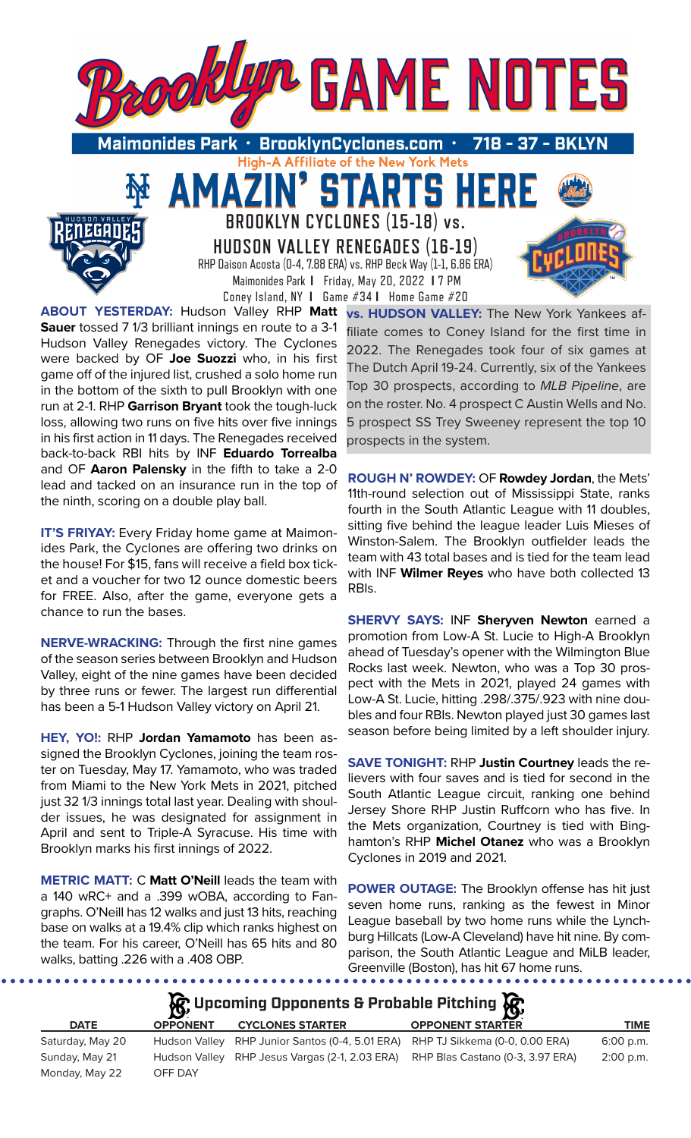

 $\mathbf{V}$ 

**RTS** 

**BROOKLYN CYCLONES (15-18) vs. HUDSON VALLEY RENEGADES (16-19)** RHP Daison Acosta (0-4, 7.88 ERA) vs. RHP Beck Way (1-1, 6.86 ERA) Maimonides Park **I** Friday, May 20, 2022 **I** 7 PM Coney Island, NY **I** Game #34 **I** Home Game #20

5

**ABOUT YESTERDAY:** Hudson Valley RHP **Matt Sauer** tossed 7 1/3 brilliant innings en route to a 3-1 Hudson Valley Renegades victory. The Cyclones were backed by OF **Joe Suozzi** who, in his first game off of the injured list, crushed a solo home run in the bottom of the sixth to pull Brooklyn with one run at 2-1. RHP **Garrison Bryant** took the tough-luck loss, allowing two runs on five hits over five innings in his first action in 11 days. The Renegades received back-to-back RBI hits by INF **Eduardo Torrealba** and OF **Aaron Palensky** in the fifth to take a 2-0 lead and tacked on an insurance run in the top of the ninth, scoring on a double play ball.

**IT'S FRIYAY:** Every Friday home game at Maimonides Park, the Cyclones are offering two drinks on the house! For \$15, fans will receive a field box ticket and a voucher for two 12 ounce domestic beers for FREE. Also, after the game, everyone gets a chance to run the bases.

**NERVE-WRACKING:** Through the first nine games of the season series between Brooklyn and Hudson Valley, eight of the nine games have been decided by three runs or fewer. The largest run differential has been a 5-1 Hudson Valley victory on April 21.

**HEY, YO!:** RHP **Jordan Yamamoto** has been assigned the Brooklyn Cyclones, joining the team roster on Tuesday, May 17. Yamamoto, who was traded from Miami to the New York Mets in 2021, pitched just 32 1/3 innings total last year. Dealing with shoulder issues, he was designated for assignment in April and sent to Triple-A Syracuse. His time with Brooklyn marks his first innings of 2022.

**METRIC MATT:** C **Matt O'Neill** leads the team with a 140 wRC+ and a .399 wOBA, according to Fangraphs. O'Neill has 12 walks and just 13 hits, reaching base on walks at a 19.4% clip which ranks highest on the team. For his career, O'Neill has 65 hits and 80 walks, batting .226 with a .408 OBP.

. . . . . . . . . . . . . . . . . .

**vs. HUDSON VALLEY:** The New York Yankees affiliate comes to Coney Island for the first time in 2022. The Renegades took four of six games at The Dutch April 19-24. Currently, six of the Yankees Top 30 prospects, according to *MLB Pipeline*, are on the roster. No. 4 prospect C Austin Wells and No. 5 prospect SS Trey Sweeney represent the top 10 prospects in the system.

**ROUGH N' ROWDEY:** OF **Rowdey Jordan**, the Mets' 11th-round selection out of Mississippi State, ranks fourth in the South Atlantic League with 11 doubles, sitting five behind the league leader Luis Mieses of Winston-Salem. The Brooklyn outfielder leads the team with 43 total bases and is tied for the team lead with INF **Wilmer Reyes** who have both collected 13 RBIs.

**SHERVY SAYS:** INF **Sheryven Newton** earned a promotion from Low-A St. Lucie to High-A Brooklyn ahead of Tuesday's opener with the Wilmington Blue Rocks last week. Newton, who was a Top 30 prospect with the Mets in 2021, played 24 games with Low-A St. Lucie, hitting .298/.375/.923 with nine doubles and four RBIs. Newton played just 30 games last season before being limited by a left shoulder injury.

**SAVE TONIGHT:** RHP **Justin Courtney** leads the relievers with four saves and is tied for second in the South Atlantic League circuit, ranking one behind Jersey Shore RHP Justin Ruffcorn who has five. In the Mets organization, Courtney is tied with Binghamton's RHP **Michel Otanez** who was a Brooklyn Cyclones in 2019 and 2021.

**POWER OUTAGE:** The Brooklyn offense has hit just seven home runs, ranking as the fewest in Minor League baseball by two home runs while the Lynchburg Hillcats (Low-A Cleveland) have hit nine. By comparison, the South Atlantic League and MiLB leader, Greenville (Boston), has hit 67 home runs.

|             |                 | $\mathcal{R}$ Upcoming Opponents & Probable Pitching $\mathcal{R}$ |                         |      |
|-------------|-----------------|--------------------------------------------------------------------|-------------------------|------|
| <b>DATE</b> | <b>OPPONENT</b> | <b>CYCLONES STARTER</b>                                            | <b>OPPONENT STARTER</b> | TIME |
|             |                 |                                                                    |                         |      |

| Saturday, May 20 |         | Hudson Valley RHP Junior Santos (0-4, 5.01 ERA) RHP TJ Sikkema (0-0, 0.00 ERA)  | $6:00$ p.m. |
|------------------|---------|---------------------------------------------------------------------------------|-------------|
| Sunday, May 21   |         | Hudson Valley RHP Jesus Vargas (2-1, 2.03 ERA) RHP Blas Castano (0-3, 3.97 ERA) | 2:00 p.m.   |
| Monday, May 22   | OFF DAY |                                                                                 |             |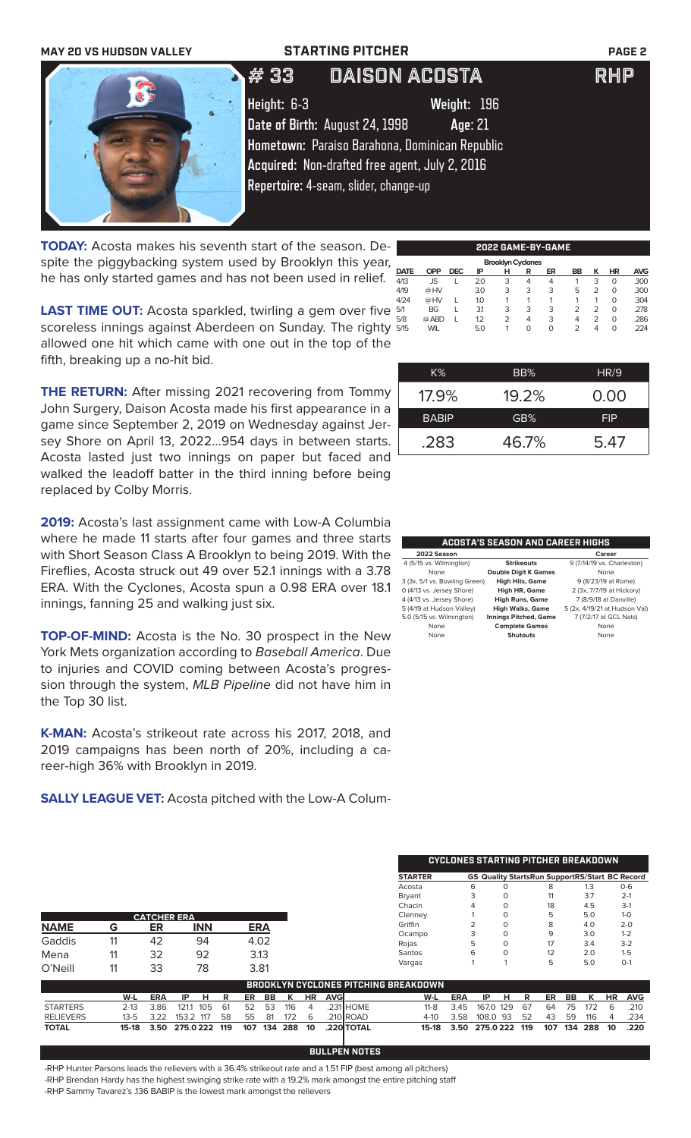### **MAY 20 VS HUDSON VALLEY STARTING PITCHER PAGE 2**

# 33 DAISON ACOSTA RHP



**Height:** 6-3 **Weight:** 196 **Date of Birth:** August 24, 1998 **Age**: 21 **Hometown:** Paraiso Barahona, Dominican Republic **Acquired:** Non-drafted free agent, July 2, 2016 **Repertoire:** 4-seam, slider, change-up

**TODAY:** Acosta makes his seventh start of the season. Despite the piggybacking system used by Brooklyn this year, he has only started games and has not been used in relief.

|   |             |            |            |     |                          |   | 2022 GAME-BY-GAME |           |                |           |            |
|---|-------------|------------|------------|-----|--------------------------|---|-------------------|-----------|----------------|-----------|------------|
| , |             |            |            |     | <b>Brooklyn Cyclones</b> |   |                   |           |                |           |            |
|   | <b>DATE</b> | <b>OPP</b> | <b>DEC</b> | ΙP  | н                        | R | ER                | <b>BB</b> | κ              | <b>HR</b> | <b>AVG</b> |
|   | 4/13        | JS         |            | 2.0 | 3                        | 4 | 4                 |           | 3              | O         | .300       |
|   | 4/19        | @HV        |            | 3.0 | 3                        | 3 | 3                 | 5         | $\overline{2}$ | 0         | .300       |
|   | 4/24        | @HV        |            | 1.0 |                          |   |                   |           |                | $\Omega$  | .304       |
|   | 5/1         | <b>BG</b>  |            | 31  | 3                        | 3 | 3                 | 2         | $\overline{2}$ | O         | .278       |
|   | 5/8         | @ ABD      |            | 1.2 | $\overline{2}$           | 4 | 3                 | 4         | $\mathcal{P}$  | $\Omega$  | .286       |
|   | 5/15        | WIL        |            | 5.0 |                          | 0 | 0                 | 2         | 4              | 0         | .224       |
|   |             |            |            |     |                          |   |                   |           |                |           |            |

**LAST TIME OUT:** Acosta sparkled, twirling a gem over five scoreless innings against Aberdeen on Sunday. The righty allowed one hit which came with one out in the top of the fifth, breaking up a no-hit bid.

**THE RETURN:** After missing 2021 recovering from Tommy John Surgery, Daison Acosta made his first appearance in a game since September 2, 2019 on Wednesday against Jersey Shore on April 13, 2022...954 days in between starts. Acosta lasted just two innings on paper but faced and walked the leadoff batter in the third inning before being replaced by Colby Morris.

**2019:** Acosta's last assignment came with Low-A Columbia where he made 11 starts after four games and three starts with Short Season Class A Brooklyn to being 2019. With the Fireflies, Acosta struck out 49 over 52.1 innings with a 3.78 ERA. With the Cyclones, Acosta spun a 0.98 ERA over 18.1 innings, fanning 25 and walking just six.

**TOP-OF-MIND:** Acosta is the No. 30 prospect in the New York Mets organization according to *Baseball America*. Due to injuries and COVID coming between Acosta's progression through the system, *MLB Pipeline* did not have him in the Top 30 list.

**K-MAN:** Acosta's strikeout rate across his 2017, 2018, and 2019 campaigns has been north of 20%, including a career-high 36% with Brooklyn in 2019.

**SALLY LEAGUE VET:** Acosta pitched with the Low-A Colum-

| .283 | 46.7% | 5.47 |
|------|-------|------|
|      |       |      |
|      |       |      |

K% BB% HR/9

17.9% 19.2% 0.00 BABIP **GB%** FIP

| <b>ACOSTA'S SEASON AND CAREER HIGHS</b> |                              |                               |  |  |  |  |  |
|-----------------------------------------|------------------------------|-------------------------------|--|--|--|--|--|
| 2022 Season<br>Career                   |                              |                               |  |  |  |  |  |
| 4 (5/15 vs. Wilmington)                 | <b>Strikeouts</b>            | 9 (7/14/19 vs. Charleston)    |  |  |  |  |  |
| None                                    | <b>Double Digit K Games</b>  | None                          |  |  |  |  |  |
| 3 (3x, 5/1 vs. Bowling Green)           | <b>High Hits, Game</b>       | 9 (8/23/19 at Rome)           |  |  |  |  |  |
| 0 (4/13 vs. Jersey Shore)               | High HR, Game                | 2 (3x, 7/7/19 at Hickory)     |  |  |  |  |  |
| 4 (4/13 vs. Jersey Shore)               | <b>High Runs, Game</b>       | 7 (8/9/18 at Danville)        |  |  |  |  |  |
| 5 (4/19 at Hudson Valley)               | <b>High Walks, Game</b>      | 5 (2x, 4/19/21 at Hudson Val) |  |  |  |  |  |
| 5.0 (5/15 vs. Wilmington)               | <b>Innings Pitched, Game</b> | 7 (7/2/17 at GCL Nats)        |  |  |  |  |  |
| None                                    | <b>Complete Games</b>        | None                          |  |  |  |  |  |
| None                                    | Shutouts                     | None                          |  |  |  |  |  |

|                  |          |            |                    |           |     |            |     |    |            | <b>CYCLONES STARTING PITCHER BREAKDOWN</b> |                                             |          |                                                       |          |          |     |     |     |     |           |            |
|------------------|----------|------------|--------------------|-----------|-----|------------|-----|----|------------|--------------------------------------------|---------------------------------------------|----------|-------------------------------------------------------|----------|----------|-----|-----|-----|-----|-----------|------------|
|                  |          |            |                    |           |     |            |     |    |            |                                            | <b>STARTER</b>                              |          | <b>GS Quality StartsRun SupportRS/Start BC Record</b> |          |          |     |     |     |     |           |            |
|                  |          |            |                    |           |     |            |     |    |            |                                            | Acosta                                      |          |                                                       | 6        |          |     | 8   |     | 1.3 |           | $O - 6$    |
|                  |          |            |                    |           |     |            |     |    |            |                                            | <b>Bryant</b>                               |          |                                                       | 3        | $\Omega$ |     | 11  |     | 3.7 |           | $2-1$      |
|                  |          |            |                    |           |     |            |     |    |            |                                            | Chacin                                      |          |                                                       |          | $\Omega$ |     | 18  |     | 4.5 |           | $3-1$      |
|                  |          |            | <b>CATCHER ERA</b> |           |     |            |     |    |            |                                            | Clenney                                     |          |                                                       |          | $\Omega$ |     | 5   |     | 5.0 |           | $1 - 0$    |
| <b>NAME</b>      | G        | ER         | <b>INN</b>         |           |     | <b>ERA</b> |     |    |            |                                            | Griffin                                     |          |                                                       |          | $\Omega$ |     | 8   |     | 4.0 |           | $2 - 0$    |
|                  |          |            |                    |           |     |            |     |    |            |                                            | Ocampo                                      |          |                                                       |          | $\Omega$ |     | 9   |     | 3.0 |           | $1 - 2$    |
| Gaddis           | 11       | 42         | 94                 |           |     | 4.02       |     |    |            |                                            | Rojas                                       |          |                                                       | 5        | 0        |     | 17  |     | 3.4 |           | $3-2$      |
| Mena             | 11       | 32         | 92                 |           |     | 3.13       |     |    |            |                                            | Santos                                      |          |                                                       | 6        | $\Omega$ |     | 12  |     | 2.0 |           | $1 - 5$    |
| O'Neill          | 11       | 33         | 78                 |           |     | 3.81       |     |    |            |                                            | Vargas                                      |          |                                                       |          |          |     | 5   |     | 5.0 |           | $O-1$      |
|                  |          |            |                    |           |     |            |     |    |            |                                            | <b>BROOKLYN CYCLONES PITCHING BREAKDOWN</b> |          |                                                       |          |          |     |     |     |     |           |            |
|                  | W-L      | <b>ERA</b> | IP                 | н<br>R    | ER  | BB         | к   | HR | <b>AVG</b> |                                            |                                             | W-L      | <b>ERA</b>                                            | IP       | н        | R   | ER  | BB  | к   | <b>HR</b> | <b>AVG</b> |
| <b>STARTERS</b>  | $2 - 13$ | 3.86       | 121.1              | 105<br>61 | 52  | 53         | 116 | 4  |            | .231 HOME                                  |                                             | $11 - 8$ | 3.45                                                  | 167.0    | 129      | 67  | 64  | 75  | 172 | 6         | .210       |
| <b>RELIEVERS</b> | $13 - 5$ | 3.22       | 153.2 117          | 58        | 55  | 81         | 172 | 6  |            | .210 ROAD                                  |                                             | $4 - 10$ | 3.58                                                  | 108.0    | -93      | 52  | 43  | 59  | 116 | 4         | .234       |
| <b>TOTAL</b>     | 15-18    | 3.50       | 275.0222           | 119       | 107 | 134        | 288 | 10 |            | .220 TOTAL                                 |                                             | 15-18    | 3.50                                                  | 275.0222 |          | 119 | 107 | 134 | 288 | 10        | .220       |

**BULLPEN NOTES**

-RHP Hunter Parsons leads the relievers with a 36.4% strikeout rate and a 1.51 FIP (best among all pitchers) -RHP Brendan Hardy has the highest swinging strike rate with a 19.2% mark amongst the entire pitching staff -RHP Sammy Tavarez's .136 BABIP is the lowest mark amongst the relievers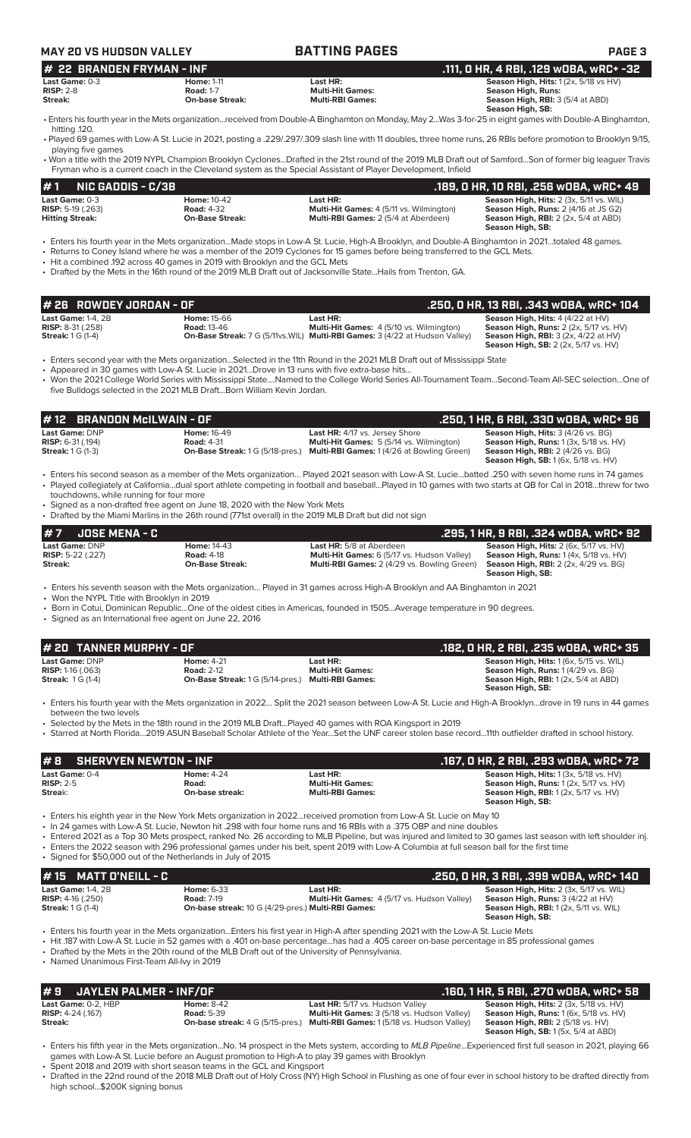| <b>MAY 20 VS HUDSON VALLEY</b>                                                                                                                                                  |                                                                                                                                                                                         | <b>BATTING PAGES</b>                                                                                                                                                                                                                                                                                                                                                                                                                                                                                                                                        | <b>PAGE 3</b>                                                                                                                                                             |
|---------------------------------------------------------------------------------------------------------------------------------------------------------------------------------|-----------------------------------------------------------------------------------------------------------------------------------------------------------------------------------------|-------------------------------------------------------------------------------------------------------------------------------------------------------------------------------------------------------------------------------------------------------------------------------------------------------------------------------------------------------------------------------------------------------------------------------------------------------------------------------------------------------------------------------------------------------------|---------------------------------------------------------------------------------------------------------------------------------------------------------------------------|
| # 22 BRANDEN FRYMAN - INF<br>Last Game: 0-3<br>$RISP: 2-8$<br>Streak:                                                                                                           | <b>Home: 1-11</b><br><b>Road: 1-7</b><br><b>On-base Streak:</b>                                                                                                                         | Last HR:<br><b>Multi-Hit Games:</b><br><b>Multi-RBI Games:</b>                                                                                                                                                                                                                                                                                                                                                                                                                                                                                              | .111, O HR, 4 RBI, .129 wOBA, wRC+ -32<br>Season High, Hits: 1 (2x, 5/18 vs HV)<br><b>Season High, Runs:</b><br>Season High, RBI: 3 (5/4 at ABD)<br>Season High, SB:      |
| hitting .120.                                                                                                                                                                   |                                                                                                                                                                                         | · Enters his fourth year in the Mets organizationreceived from Double-A Binghamton on Monday, May 2Was 3-for-25 in eight games with Double-A Binghamton,<br>• Played 69 games with Low-A St. Lucie in 2021, posting a .229/.297/.309 slash line with 11 doubles, three home runs, 26 RBIs before promotion to Brooklyn 9/15,                                                                                                                                                                                                                                |                                                                                                                                                                           |
| playing five games                                                                                                                                                              |                                                                                                                                                                                         | • Won a title with the 2019 NYPL Champion Brooklyn CyclonesDrafted in the 21st round of the 2019 MLB Draft out of SamfordSon of former big leaguer Travis<br>Fryman who is a current coach in the Cleveland system as the Special Assistant of Player Development, Infield                                                                                                                                                                                                                                                                                  |                                                                                                                                                                           |
| #1<br><b>NIC GADDIS - C/3B</b>                                                                                                                                                  |                                                                                                                                                                                         |                                                                                                                                                                                                                                                                                                                                                                                                                                                                                                                                                             | .189, 0 HR, 10 RBI, .256 w0BA, wRC+ 49                                                                                                                                    |
| Last Game: 0-3<br><b>RISP:</b> 5-19 (.263)<br><b>Hitting Streak:</b>                                                                                                            | <b>Home: 10-42</b><br><b>Road: 4-32</b><br><b>On-Base Streak:</b>                                                                                                                       | Last HR:<br>Multi-Hit Games: 4 (5/11 vs. Wilmington)<br>Multi-RBI Games: 2 (5/4 at Aberdeen)                                                                                                                                                                                                                                                                                                                                                                                                                                                                | Season High, Hits: 2 (3x, 5/11 vs. WIL)<br>Season High, Runs: 2 (4/16 at JS G2)<br>Season High, RBI: 2 (2x, 5/4 at ABD)<br>Season High, SB:                               |
|                                                                                                                                                                                 | • Hit a combined .192 across 40 games in 2019 with Brooklyn and the GCL Mets                                                                                                            | · Enters his fourth year in the Mets organizationMade stops in Low-A St. Lucie, High-A Brooklyn, and Double-A Binghamton in 2021totaled 48 games.<br>• Returns to Coney Island where he was a member of the 2019 Cyclones for 15 games before being transferred to the GCL Mets.<br>• Drafted by the Mets in the 16th round of the 2019 MLB Draft out of Jacksonville State Hails from Trenton, GA.                                                                                                                                                         |                                                                                                                                                                           |
| # 26 ROWDEY JORDAN - OF                                                                                                                                                         |                                                                                                                                                                                         |                                                                                                                                                                                                                                                                                                                                                                                                                                                                                                                                                             | .250, 0 HR, 13 RBI, .343 wOBA, wRC+ 104                                                                                                                                   |
| <b>Last Game: 1-4, 2B</b><br><b>RISP: 8-31 (.258)</b><br><b>Streak:</b> 1 G (1-4)                                                                                               | Home: 15-66<br><b>Road: 13-46</b>                                                                                                                                                       | Last HR:<br>Multi-Hit Games: 4 (5/10 vs. Wilmington)<br><b>On-Base Streak: 7 G (5/11vs. WIL) Multi-RBI Games: 3 (4/22 at Hudson Valley)</b>                                                                                                                                                                                                                                                                                                                                                                                                                 | Season High, Hits: 4 (4/22 at HV)<br><b>Season High, Runs: 2 (2x, 5/17 vs. HV)</b><br><b>Season High, RBI: 3 (2x, 4/22 at HV)</b><br>Season High, SB: 2 (2x, 5/17 vs. HV) |
|                                                                                                                                                                                 | • Appeared in 30 games with Low-A St. Lucie in 2021Drove in 13 runs with five extra-base hits<br>five Bulldogs selected in the 2021 MLB DraftBorn William Kevin Jordan.                 | • Enters second year with the Mets organizationSelected in the 11th Round in the 2021 MLB Draft out of Mississippi State<br>• Won the 2021 College World Series with Mississippi StateNamed to the College World Series All-Tournament TeamSecond-Team All-SEC selectionOne of                                                                                                                                                                                                                                                                              |                                                                                                                                                                           |
| <b>BRANDON McILWAIN - OF</b><br>#12                                                                                                                                             |                                                                                                                                                                                         |                                                                                                                                                                                                                                                                                                                                                                                                                                                                                                                                                             | .250, 1 HR, 6 RBI, .330 wOBA, wRC+ 96                                                                                                                                     |
| Last Game: DNP<br><b>RISP: 6-31 (.194)</b><br><b>Streak:</b> 1 G (1-3)                                                                                                          | <b>Home: 16-49</b><br><b>Road: 4-31</b>                                                                                                                                                 | Last HR: 4/17 vs. Jersey Shore<br>Multi-Hit Games: 5 (5/14 vs. Wilmington)<br><b>On-Base Streak: 1 G (5/18-pres.) Multi-RBI Games: 1 (4/26 at Bowling Green)</b>                                                                                                                                                                                                                                                                                                                                                                                            | Season High, Hits: 3 (4/26 vs. BG)<br>Season High, Runs: 1 (3x, 5/18 vs. HV)<br><b>Season High, RBI: 2 (4/26 vs. BG)</b><br>Season High, SB: 1 (6x, 5/18 vs. HV)          |
| touchdowns, while running for four more                                                                                                                                         | • Signed as a non-drafted free agent on June 18, 2020 with the New York Mets<br>• Drafted by the Miami Marlins in the 26th round (771st overall) in the 2019 MLB Draft but did not sign | • Enters his second season as a member of the Mets organization Played 2021 season with Low-A St. Luciebatted .250 with seven home runs in 74 games<br>• Played collegiately at Californiadual sport athlete competing in football and baseballPlayed in 10 games with two starts at QB for Cal in 2018threw for two                                                                                                                                                                                                                                        |                                                                                                                                                                           |
| #7<br><b>JOSE MENA - C</b>                                                                                                                                                      |                                                                                                                                                                                         |                                                                                                                                                                                                                                                                                                                                                                                                                                                                                                                                                             | .295, 1 HR, 9 RBI, .324 wOBA, wRC+ 92                                                                                                                                     |
| <b>Last Game: DNP</b><br><b>RISP:</b> 5-22 (.227)<br>Streak:                                                                                                                    | <b>Home: 14-43</b><br><b>Road: 4-18</b><br><b>On-Base Streak:</b>                                                                                                                       | Last HR: 5/8 at Aberdeen<br>Multi-Hit Games: 6 (5/17 vs. Hudson Valley)<br><b>Multi-RBI Games:</b> 2 (4/29 vs. Bowling Green)                                                                                                                                                                                                                                                                                                                                                                                                                               | <b>Season High, Hits: 2 (6x, 5/17 vs. HV)</b><br><b>Season High, Runs: 1 (4x, 5/18 vs. HV)</b><br><b>Season High, RBI:</b> 2 (2x, 4/29 vs. BG)<br>Season High, SB:        |
| • Won the NYPL Title with Brooklyn in 2019<br>• Signed as an International free agent on June 22, 2016<br># 20 TANNER MURPHY - OF<br>Last Game: DNP<br><b>RISP: 1-16 (.063)</b> | <b>Home: 4-21</b><br><b>Road: 2-12</b>                                                                                                                                                  | • Enters his seventh season with the Mets organization Played in 31 games across High-A Brooklyn and AA Binghamton in 2021<br>• Born in Cotui, Dominican RepublicOne of the oldest cities in Americas, founded in 1505Average temperature in 90 degrees.<br>Last HR:<br><b>Multi-Hit Games:</b>                                                                                                                                                                                                                                                             | .182, 0 HR, 2 RBI, .235 wOBA, wRC+ 35<br>Season High, Hits: 1 (6x, 5/15 vs. WIL)<br>Season High, Runs: 1(4/29 vs. BG)                                                     |
| <b>Streak: 1G (1-4)</b>                                                                                                                                                         | On-Base Streak: 1 G (5/14-pres.) Multi-RBI Games:                                                                                                                                       |                                                                                                                                                                                                                                                                                                                                                                                                                                                                                                                                                             | Season High, RBI: 1 (2x, 5/4 at ABD)<br>Season High, SB:                                                                                                                  |
| between the two levels                                                                                                                                                          |                                                                                                                                                                                         | Enters his fourth year with the Mets organization in 2022 Split the 2021 season between Low-A St. Lucie and High-A Brooklyndrove in 19 runs in 44 games<br>• Selected by the Mets in the 18th round in the 2019 MLB DraftPlayed 40 games with ROA Kingsport in 2019<br>· Starred at North Florida2019 ASUN Baseball Scholar Athlete of the YearSet the UNF career stolen base record11th outfielder drafted in school history.                                                                                                                              |                                                                                                                                                                           |
| <b>SHERVYEN NEWTON - INF</b><br>#8                                                                                                                                              |                                                                                                                                                                                         |                                                                                                                                                                                                                                                                                                                                                                                                                                                                                                                                                             | .167, 0 HR, 2 RBI, .293 w0BA, wRC+ 72                                                                                                                                     |
| Last Game: 0-4<br><b>RISP: 2-5</b><br>Streak:                                                                                                                                   | <b>Home: 4-24</b><br>Road:<br>On-base streak:                                                                                                                                           | Last HR:<br><b>Multi-Hit Games:</b><br><b>Multi-RBI Games:</b>                                                                                                                                                                                                                                                                                                                                                                                                                                                                                              | Season High, Hits: 1 (3x, 5/18 vs. HV)<br>Season High, Runs: 1 (2x, 5/17 vs. HV)<br><b>Season High, RBI:</b> 1 (2x, 5/17 vs. HV)<br>Season High, SB:                      |
| • Signed for \$50,000 out of the Netherlands in July of 2015                                                                                                                    |                                                                                                                                                                                         | Fiters his eighth year in the New York Mets organization in 2022received promotion from Low-A St. Lucie on May 10 •<br>. In 24 games with Low-A St. Lucie, Newton hit .298 with four home runs and 16 RBIs with a .375 OBP and nine doubles<br>• Entered 2021 as a Top 30 Mets prospect, ranked No. 26 according to MLB Pipeline, but was injured and limited to 30 games last season with left shoulder inj.<br>• Enters the 2022 season with 296 professional games under his belt, spent 2019 with Low-A Columbia at full season ball for the first time |                                                                                                                                                                           |
| <b>MATT O'NEILL - C</b><br>#15                                                                                                                                                  |                                                                                                                                                                                         |                                                                                                                                                                                                                                                                                                                                                                                                                                                                                                                                                             | .250, 0 HR, 3 RBI, .399 w0BA, wRC+ 140                                                                                                                                    |
| <b>Last Game: 1-4, 2B</b><br><b>RISP: 4-16 (.250)</b><br><b>Streak:</b> 1 G (1-4)                                                                                               | <b>Home: 6-33</b><br><b>Road: 7-19</b><br>On-base streak: 10 G (4/29-pres.) Multi-RBI Games:                                                                                            | Last HR:<br>Multi-Hit Games: 4 (5/17 vs. Hudson Valley)                                                                                                                                                                                                                                                                                                                                                                                                                                                                                                     | Season High, Hits: 2 (3x, 5/17 vs. WIL)<br>Season High, Runs: 3 (4/22 at HV)<br><b>Season High, RBI:</b> 1 (2x, 5/11 vs. WIL)<br><b>Season High, SB:</b>                  |
| • Named Unanimous First-Team All-lvy in 2019                                                                                                                                    | • Drafted by the Mets in the 20th round of the MLB Draft out of the University of Pennsylvania.                                                                                         | • Enters his fourth year in the Mets organization…Enters his first year in High-A after spending 2021 with the Low-A St. Lucie Mets<br>. Hit 187 with Low-A St. Lucie in 52 games with a .401 on-base percentagehas had a .405 career on-base percentage in 85 professional games                                                                                                                                                                                                                                                                           |                                                                                                                                                                           |
| <b>JAYLEN PALMER - INF/OF</b><br>#9                                                                                                                                             |                                                                                                                                                                                         |                                                                                                                                                                                                                                                                                                                                                                                                                                                                                                                                                             | .160, 1 HR, 5 RBI, .270 w0BA, wRC+ 58                                                                                                                                     |
| Last Game: 0-2, HBP<br>RISP: 4-24 (.167)<br>Streak:                                                                                                                             | <b>Home: 8-42</b><br><b>Road: 5-39</b>                                                                                                                                                  | Last HR: 5/17 vs. Hudson Valley<br>Multi-Hit Games: 3 (5/18 vs. Hudson Valley)<br><b>On-base streak:</b> 4 G (5/15-pres.) Multi-RBI Games: 1 (5/18 vs. Hudson Valley)                                                                                                                                                                                                                                                                                                                                                                                       | Season High, Hits: 2 (3x, 5/18 vs. HV)<br>Season High, Runs: 1 (6x, 5/18 vs. HV)<br><b>Season High, RBI:</b> 2 (5/18 vs. HV)<br>Season High, SB: 1 (5x, 5/4 at ABD)       |
|                                                                                                                                                                                 | games with Low-A St. Lucie before an August promotion to High-A to play 39 games with Brooklyn<br>• Spent 2018 and 2019 with short season teams in the GCL and Kingsport                | · Enters his fifth year in the Mets organizationNo. 14 prospect in the Mets system, according to MLB PipelineExperienced first full season in 2021, playing 66                                                                                                                                                                                                                                                                                                                                                                                              |                                                                                                                                                                           |

• Drafted in the 22nd round of the 2018 MLB Draft out of Holy Cross (NY) High School in Flushing as one of four ever in school history to be drafted directly from high school...\$200K signing bonus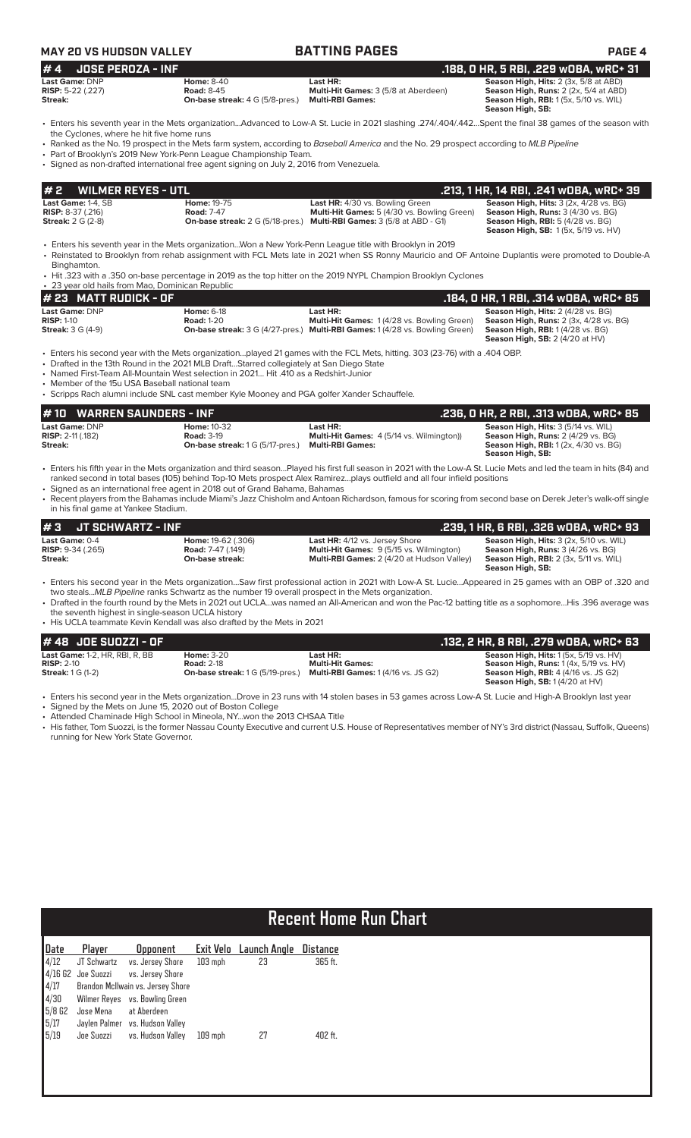| <b>MAY 20 VS HUDSON VALLEY</b><br>#4<br><b>JOSE PEROZA - INF</b><br>Last Game: DNP<br><b>RISP:</b> 5-22 (.227) |                                                                                                                                                                                  | <b>BATTING PAGES</b>                                                                                                                                                                                                                                                                                                                                                                                                                                             | <b>PAGE 4</b>                                                                                                                                                              |
|----------------------------------------------------------------------------------------------------------------|----------------------------------------------------------------------------------------------------------------------------------------------------------------------------------|------------------------------------------------------------------------------------------------------------------------------------------------------------------------------------------------------------------------------------------------------------------------------------------------------------------------------------------------------------------------------------------------------------------------------------------------------------------|----------------------------------------------------------------------------------------------------------------------------------------------------------------------------|
|                                                                                                                |                                                                                                                                                                                  |                                                                                                                                                                                                                                                                                                                                                                                                                                                                  |                                                                                                                                                                            |
|                                                                                                                | <b>Home: 8-40</b>                                                                                                                                                                | Last HR:                                                                                                                                                                                                                                                                                                                                                                                                                                                         | .188, 0 HR, 5 RBI, .229 wOBA, wRC+ 31<br>Season High, Hits: 2 (3x, 5/8 at ABD)                                                                                             |
| Streak:                                                                                                        | <b>Road: 8-45</b><br><b>On-base streak:</b> 4 G (5/8-pres.)                                                                                                                      | Multi-Hit Games: 3 (5/8 at Aberdeen)<br><b>Multi-RBI Games:</b>                                                                                                                                                                                                                                                                                                                                                                                                  | Season High, Runs: 2 (2x, 5/4 at ABD)<br><b>Season High, RBI:</b> 1 (5x, 5/10 vs. WIL)<br>Season High, SB:                                                                 |
| the Cyclones, where he hit five home runs                                                                      | • Part of Brooklyn's 2019 New York-Penn League Championship Team.<br>• Signed as non-drafted international free agent signing on July 2, 2016 from Venezuela.                    | • Enters his seventh year in the Mets organizationAdvanced to Low-A St. Lucie in 2021 slashing .274/.404/.442Spent the final 38 games of the season with<br>• Ranked as the No. 19 prospect in the Mets farm system, according to Baseball America and the No. 29 prospect according to MLB Pipeline                                                                                                                                                             |                                                                                                                                                                            |
| #2<br><b>WILMER REYES - UTL</b>                                                                                |                                                                                                                                                                                  |                                                                                                                                                                                                                                                                                                                                                                                                                                                                  | .213, 1 HR, 14 RBI, .241 wOBA, wRC+ 39                                                                                                                                     |
| Last Game: 1-4. SB<br><b>RISP:</b> 8-37 (.216)<br><b>Streak:</b> 2 G (2-8)                                     | Home: 19-75<br><b>Road: 7-47</b>                                                                                                                                                 | Last HR: 4/30 vs. Bowling Green<br>Multi-Hit Games: 5 (4/30 vs. Bowling Green)<br>On-base streak: 2 G (5/18-pres.) Multi-RBI Games: 3 (5/8 at ABD - G1)                                                                                                                                                                                                                                                                                                          | Season High, Hits: 3 (2x, 4/28 vs. BG)<br>Season High, Runs: 3 (4/30 vs. BG)<br><b>Season High, RBI: 5 (4/28 vs. BG)</b>                                                   |
|                                                                                                                |                                                                                                                                                                                  | Enters his seventh year in the Mets organizationWon a New York-Penn League title with Brooklyn in 2019 •<br>• Reinstated to Brooklyn from rehab assignment with FCL Mets late in 2021 when SS Ronny Mauricio and OF Antoine Duplantis were promoted to Double-A                                                                                                                                                                                                  | <b>Season High, SB: 1(5x, 5/19 vs. HV)</b>                                                                                                                                 |
| Binghamton.<br>• 23 year old hails from Mao, Dominican Republic                                                |                                                                                                                                                                                  | • Hit .323 with a .350 on-base percentage in 2019 as the top hitter on the 2019 NYPL Champion Brooklyn Cyclones                                                                                                                                                                                                                                                                                                                                                  |                                                                                                                                                                            |
| #23<br><b>MATT RUDICK - OF</b>                                                                                 |                                                                                                                                                                                  |                                                                                                                                                                                                                                                                                                                                                                                                                                                                  | .184, 0 HR, 1 RBI, .314 wOBA, wRC+ 85                                                                                                                                      |
| Last Game: DNP<br><b>RISP: 1-10</b><br><b>Streak:</b> 3 G (4-9)                                                | <b>Home: 6-18</b><br><b>Road: 1-20</b>                                                                                                                                           | Last HR:<br>Multi-Hit Games: 1(4/28 vs. Bowling Green)<br><b>On-base streak:</b> 3 G (4/27-pres.) Multi-RBI Games: 1 (4/28 vs. Bowling Green)                                                                                                                                                                                                                                                                                                                    | Season High, Hits: 2 (4/28 vs. BG)<br>Season High, Runs: 2 (3x, 4/28 vs. BG)<br>Season High, RBI: 1 (4/28 vs. BG)<br><b>Season High, SB: 2 (4/20 at HV)</b>                |
| • Member of the 15u USA Baseball national team                                                                 | • Drafted in the 13th Round in the 2021 MLB DraftStarred collegiately at San Diego State<br>• Named First-Team All-Mountain West selection in 2021 Hit .410 as a Redshirt-Junior | • Enters his second year with the Mets organizationplayed 21 games with the FCL Mets, hitting. 303 (23-76) with a .404 OBP.                                                                                                                                                                                                                                                                                                                                      |                                                                                                                                                                            |
|                                                                                                                | • Scripps Rach alumni include SNL cast member Kyle Mooney and PGA golfer Xander Schauffele.                                                                                      |                                                                                                                                                                                                                                                                                                                                                                                                                                                                  |                                                                                                                                                                            |
| #10<br><b>WARREN SAUNDERS - INF</b><br>Last Game: DNP                                                          | <b>Home: 10-32</b>                                                                                                                                                               | Last HR:                                                                                                                                                                                                                                                                                                                                                                                                                                                         | .236, 0 HR, 2 RBI, .313 WOBA, WRC+ 85<br>Season High, Hits: 3 (5/14 vs. WIL)                                                                                               |
| RISP: 2-11 (.182)<br>Streak:                                                                                   | <b>Road: 3-19</b><br><b>On-base streak:</b> 1 G (5/17-pres.)                                                                                                                     | Multi-Hit Games: 4 (5/14 vs. Wilmington))<br><b>Multi-RBI Games:</b>                                                                                                                                                                                                                                                                                                                                                                                             | Season High, Runs: 2 (4/29 vs. BG)<br><b>Season High, RBI:</b> 1 (2x, 4/30 vs. BG)<br>Season High, SB:                                                                     |
| in his final game at Yankee Stadium.                                                                           | • Signed as an international free agent in 2018 out of Grand Bahama, Bahamas                                                                                                     | • Enters his fifth year in the Mets organization and third seasonPlayed his first full season in 2021 with the Low-A St. Lucie Mets and led the team in hits (84) and<br>ranked second in total bases (105) behind Top-10 Mets prospect Alex Ramirezplays outfield and all four infield positions<br>• Recent players from the Bahamas include Miami's Jazz Chisholm and Antoan Richardson, famous for scoring from second base on Derek Jeter's walk-off single |                                                                                                                                                                            |
| #3<br><b>JT SCHWARTZ - INF</b>                                                                                 |                                                                                                                                                                                  |                                                                                                                                                                                                                                                                                                                                                                                                                                                                  | .239, 1 HR, 6 RBI, .326 wOBA, wRC+ 93                                                                                                                                      |
| Last Game: 0-4<br>RISP: 9-34 (.265)<br><b>Streak:</b>                                                          | Home: 19-62 (.306)<br><b>Road:</b> 7-47 (.149)<br>On-base streak:                                                                                                                | Last HR: 4/12 vs. Jersey Shore<br>Multi-Hit Games: 9 (5/15 vs. Wilmington)<br>Multi-RBI Games: 2 (4/20 at Hudson Valley)                                                                                                                                                                                                                                                                                                                                         | Season High, Hits: 3 (2x, 5/10 vs. WIL)<br>Season High, Runs: 3 (4/26 vs. BG)<br><b>Season High, RBI:</b> 2 (3x, 5/11 vs. WIL)<br>Season High, SB:                         |
|                                                                                                                | two stealsMLB Pipeline ranks Schwartz as the number 19 overall prospect in the Mets organization.                                                                                | · Enters his second year in the Mets organizationSaw first professional action in 2021 with Low-A St. LucieAppeared in 25 games with an OBP of .320 and<br>• Drafted in the fourth round by the Mets in 2021 out UCLAwas named an All-American and won the Pac-12 batting title as a sophomoreHis .396 average was                                                                                                                                               |                                                                                                                                                                            |
| the seventh highest in single-season UCLA history                                                              | • His UCLA teammate Kevin Kendall was also drafted by the Mets in 2021                                                                                                           |                                                                                                                                                                                                                                                                                                                                                                                                                                                                  |                                                                                                                                                                            |
| #48<br>JOE SUOZZI - OF                                                                                         |                                                                                                                                                                                  |                                                                                                                                                                                                                                                                                                                                                                                                                                                                  | .132, 2 HR, 8 RBI, .279 wDBA, wRC+ 63                                                                                                                                      |
| <b>Last Game:</b> 1-2, HR, RBI, R, BB<br><b>RISP: 2-10</b><br><b>Streak:</b> 1 G (1-2)                         | <b>Home: 3-20</b><br><b>Road: 2-18</b><br>On-base streak: 1 G (5/19-pres.)                                                                                                       | Last HR:<br><b>Multi-Hit Games:</b><br><b>Multi-RBI Games: 1 (4/16 vs. JS G2)</b>                                                                                                                                                                                                                                                                                                                                                                                | Season High, Hits: 1 (5x, 5/19 vs. HV)<br><b>Season High, Runs: 1 (4x, 5/19 vs. HV)</b><br><b>Season High, RBI: 4 (4/16 vs. JS G2)</b><br>Season High, SB: $1(4/20$ at HV) |
| • Signed by the Mets on June 15, 2020 out of Boston College<br>running for New York State Governor.            | • Attended Chaminade High School in Mineola, NYwon the 2013 CHSAA Title                                                                                                          | · Enters his second year in the Mets organizationDrove in 23 runs with 14 stolen bases in 53 games across Low-A St. Lucie and High-A Brooklyn last year<br>• His father, Tom Suozzi, is the former Nassau County Executive and current U.S. House of Representatives member of NY's 3rd district (Nassau, Suffolk, Queens)                                                                                                                                       |                                                                                                                                                                            |
|                                                                                                                |                                                                                                                                                                                  |                                                                                                                                                                                                                                                                                                                                                                                                                                                                  |                                                                                                                                                                            |
|                                                                                                                |                                                                                                                                                                                  |                                                                                                                                                                                                                                                                                                                                                                                                                                                                  |                                                                                                                                                                            |
|                                                                                                                |                                                                                                                                                                                  |                                                                                                                                                                                                                                                                                                                                                                                                                                                                  |                                                                                                                                                                            |
|                                                                                                                |                                                                                                                                                                                  |                                                                                                                                                                                                                                                                                                                                                                                                                                                                  |                                                                                                                                                                            |

# **Recent Home Run Chart**

| <u> Date</u>                                     | Player               | <b>Opponent</b>                   |           | Exit Velo Launch Angle | <b>Distance</b> |
|--------------------------------------------------|----------------------|-----------------------------------|-----------|------------------------|-----------------|
| $\sqrt{4}/12$                                    | JT Schwartz          | vs. Jersey Shore                  | $103$ mph | 23                     | 365 ft.         |
|                                                  | $4/16$ G2 Joe Suozzi | vs. Jersey Shore                  |           |                        |                 |
|                                                  |                      | Brandon McIlwain vs. Jersey Shore |           |                        |                 |
|                                                  |                      | Wilmer Reyes vs. Bowling Green    |           |                        |                 |
|                                                  | Jose Mena            | at Aberdeen                       |           |                        |                 |
|                                                  |                      | Jaylen Palmer vs. Hudson Valley   |           |                        |                 |
| $4/17$<br>$4/30$<br>$5/8$ G2<br>$5/17$<br>$5/19$ | Joe Suozzi           | vs. Hudson Valley                 | $109$ mph | 27                     | 402 ft.         |
|                                                  |                      |                                   |           |                        |                 |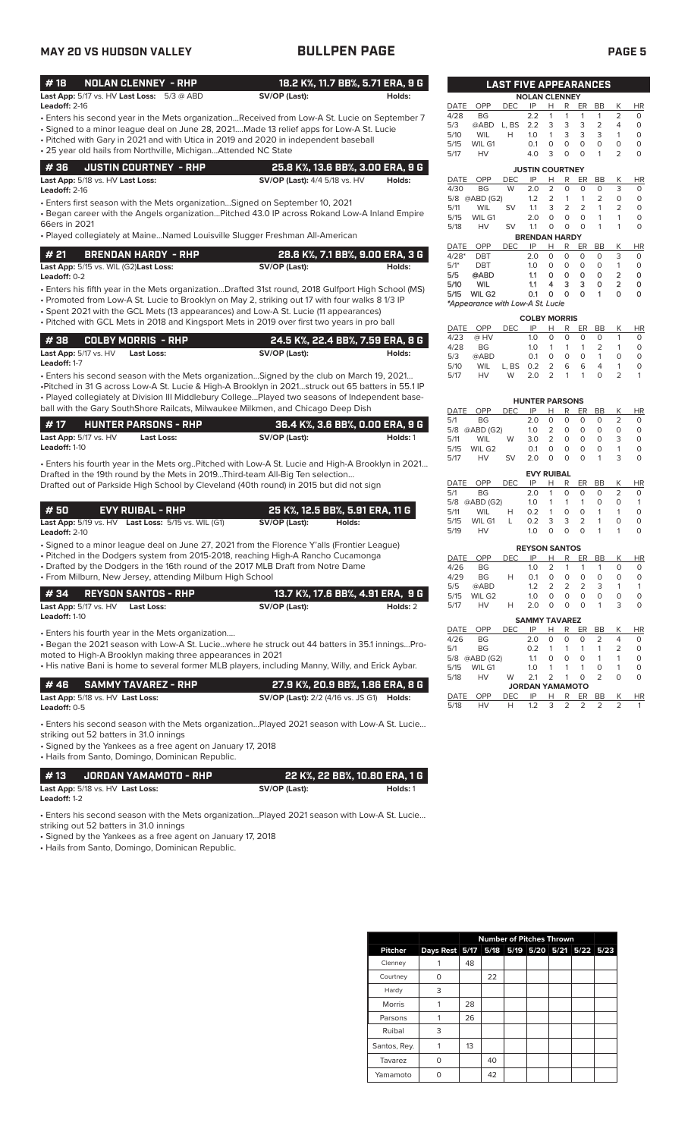# **MAY 20 VS HUDSON VALLEY BULLPEN PAGE PAGE 5**

|                 |                                                              |               | 18.2 K%, 11.7 BB%, 5.71 ERA, 9 G |  |
|-----------------|--------------------------------------------------------------|---------------|----------------------------------|--|
|                 | <b>Last App:</b> $5/17$ vs. HV <b>Last Loss:</b> $5/3$ @ ABD | SV/OP (Last): | Holds:                           |  |
| Leadoff: $2-16$ |                                                              |               |                                  |  |

- Enters his second year in the Mets organization...Received from Low-A St. Lucie on September 7
- Signed to a minor league deal on June 28, 2021....Made 13 relief apps for Low-A St. Lucie • Pitched with Gary in 2021 and with Utica in 2019 and 2020 in independent baseball
- 25 year old hails from Northville, Michigan...Attended NC State

| 4 36     JUSTIN COURTNEY - RHP          | 25.8 K%, 13.6 BB%, 3.00 ERA, 9 G     |        |
|-----------------------------------------|--------------------------------------|--------|
| <b>Last App:</b> 5/18 vs. HV Last Loss: | <b>SV/OP (Last):</b> 4/4 5/18 vs. HV | Holds: |

**Leadoff:** 2-16

• Enters first season with the Mets organization…Signed on September 10, 2021

• Began career with the Angels organization…Pitched 43.0 IP across Rokand Low-A Inland Empire 66ers in 2021

• Played collegiately at Maine…Named Louisville Slugger Freshman All-American

| l # 21 | BRENDAN HARDY - RHP                                  | 28.6 K%, 7.1 BB%, 9.00 ERA, 3 G |        |
|--------|------------------------------------------------------|---------------------------------|--------|
|        | <b>Last App:</b> 5/15 vs. WIL (G2) <b>Last Loss:</b> | SV/OP (Last):                   | Holds: |

• Enters his fifth year in the Mets organization...Drafted 31st round, 2018 Gulfport High School (MS) **Leadoff:** 0-2

• Promoted from Low-A St. Lucie to Brooklyn on May 2, striking out 17 with four walks 8 1/3 IP

- Spent 2021 with the GCL Mets (13 appearances) and Low-A St. Lucie (11 appearances)
- Pitched with GCL Mets in 2018 and Kingsport Mets in 2019 over first two years in pro ball

|                                  | #38    COLBY MORRIS - RHP . | 24.5 K%, 22.4 BB%, 7.59 ERA, 8 G |        |
|----------------------------------|-----------------------------|----------------------------------|--------|
| <b>Last App:</b> $5/17$ vs. $HV$ | Last Loss:                  | SV/OP (Last):                    | Holds: |
| Leadoff: 1-7                     |                             |                                  |        |

• Enters his second season with the Mets organization…Signed by the club on March 19, 2021… •Pitched in 31 G across Low-A St. Lucie & High-A Brooklyn in 2021…struck out 65 batters in 55.1 IP • Played collegiately at Division III Middlebury College…Played two seasons of Independent baseball with the Gary SouthShore Railcats, Milwaukee Milkmen, and Chicago Deep Dish

| l #17                |                                  | <b>HUNTER PARSONS - RHP</b> | 36.4 K%, 3.6 BB%, 0.00 ERA, 9 G |          |
|----------------------|----------------------------------|-----------------------------|---------------------------------|----------|
|                      | <b>Last App:</b> $5/17$ vs. $HV$ | Last Loss:                  | SV/OP (Last):                   | Holds: 1 |
| <b>Leadoff: 1-10</b> |                                  |                             |                                 |          |

• Enters his fourth year in the Mets org..Pitched with Low-A St. Lucie and High-A Brooklyn in 2021… Drafted in the 19th round by the Mets in 2019...Third-team All-Big Ten selection… Drafted out of Parkside High School by Cleveland (40th round) in 2015 but did not sign

| # 50<br>EVY RUIBAL - RHP                                               |  |  |  | 25 K%, 12.5 BB%, 5.91 ERA, 11 G |        |  |  |  |
|------------------------------------------------------------------------|--|--|--|---------------------------------|--------|--|--|--|
| <b>Last App:</b> $5/19$ vs. $HV$ <b>Last Loss:</b> $5/15$ vs. WIL (G1) |  |  |  | SV/OP (Last):                   | Holds: |  |  |  |

**Leadoff:** 2-10

• Signed to a minor league deal on June 27, 2021 from the Florence Y'alls (Frontier League)

• Pitched in the Dodgers system from 2015-2018, reaching High-A Rancho Cucamonga

• Drafted by the Dodgers in the 16th round of the 2017 MLB Draft from Notre Dame • From Milburn, New Jersey, attending Milburn High School

|                      |                              | #34 REYSON SANTOS - RHP |  |               | 13.7 K%, 17.6 BB%, 4.91 ERA, 9 G |
|----------------------|------------------------------|-------------------------|--|---------------|----------------------------------|
|                      | <b>Last App:</b> 5/17 vs. HV | Last Loss:              |  | SV/OP (Last): | Holds: 2                         |
| <b>Leadoff: 1-10</b> |                              |                         |  |               |                                  |

• Enters his fourth year in the Mets organization....

• Began the 2021 season with Low-A St. Lucie…where he struck out 44 batters in 35.1 innings…Promoted to High-A Brooklyn making three appearances in 2021

• His native Bani is home to several former MLB players, including Manny, Willy, and Erick Aybar.

|                     | # 46      SAMMY TAVAREZ - RHP .                | 27.9 K%. 20.9 BB%. 1.86 ERA. 8 G                        |  |
|---------------------|------------------------------------------------|---------------------------------------------------------|--|
|                     | <b>Last App:</b> 5/18 vs. HV <b>Last Loss:</b> | <b>SV/OP (Last):</b> 2/2 (4/16 vs. JS G1) <b>Holds:</b> |  |
| <b>Leadoff:</b> 0-5 |                                                |                                                         |  |

• Enters his second season with the Mets organization…Played 2021 season with Low-A St. Lucie…

striking out 52 batters in 31.0 innings • Signed by the Yankees as a free agent on January 17, 2018

• Hails from Santo, Domingo, Dominican Republic.

| l #13        | . JORDAN YAMAMOTO - RHP '        |               | , 22 K%, 22 BB%, 10.80 ERA, 1 G |
|--------------|----------------------------------|---------------|---------------------------------|
|              | Last App: 5/18 vs. HV Last Loss: | SV/OP (Last): | Holds: 1                        |
| Leadoff: 1-2 |                                  |               |                                 |

• Enters his second season with the Mets organization…Played 2021 season with Low-A St. Lucie…

striking out 52 batters in 31.0 innings

• Signed by the Yankees as a free agent on January 17, 2018

• Hails from Santo, Domingo, Dominican Republic.

|                |                                              |    | <b>Number of Pitches Thrown</b> |  |  |  |
|----------------|----------------------------------------------|----|---------------------------------|--|--|--|
| <b>Pitcher</b> | Days Rest 5/17 5/18 5/19 5/20 5/21 5/22 5/23 |    |                                 |  |  |  |
| Clenney        |                                              | 48 |                                 |  |  |  |
| Courtney       | U                                            |    | 22                              |  |  |  |
| Hardy          | 3                                            |    |                                 |  |  |  |
| <b>Morris</b>  |                                              | 28 |                                 |  |  |  |
| Parsons        |                                              | 26 |                                 |  |  |  |
| Ruibal         | 3                                            |    |                                 |  |  |  |
| Santos, Rey.   |                                              | 13 |                                 |  |  |  |
| Tavarez        | ∩                                            |    | 40                              |  |  |  |
| Yamamoto       |                                              |    | 42                              |  |  |  |

| DATE        | OPP                              | DEC   | IP                     | н | R | ER | BB             | Κ                       | HR |
|-------------|----------------------------------|-------|------------------------|---|---|----|----------------|-------------------------|----|
| 4/28        | <b>BG</b>                        |       | 2.2                    | 1 | 1 | 1  | 1              | 2                       | 0  |
| 5/3         | @ABD                             | L, BS | 2.2                    | 3 | 3 | 3  | 2              | 4                       | 0  |
| 5/10        | <b>WIL</b>                       | н     | 1.0                    | 1 | 3 | 3  | 3              | 1                       | 0  |
| 5/15        | WIL G1                           |       | 0.1                    | 0 | 0 | 0  | 0              | 0                       | 0  |
| 5/17        | HV                               |       | 4.0                    | 3 | 0 | 0  | 1              | 2                       | 0  |
|             |                                  |       | <b>JUSTIN COURTNEY</b> |   |   |    |                |                         |    |
| DATE        | OPP                              | DEC   | IP                     | н | R | ER | BB             | Κ                       | HR |
| 4/30        | <b>BG</b>                        | W     | 2.0                    | 2 | 0 | 0  | 0              | 3                       | 0  |
|             | 5/8 @ABD (G2)                    |       | 1.2                    | 2 | 1 | 1  | $\overline{2}$ | 0                       | 0  |
| 5/11        | <b>WIL</b>                       | SV    | 1.1                    | 3 | 2 | 2  | 1              | 2                       | 0  |
| 5/15        | WIL G1                           |       | 2.0                    | 0 | 0 | 0  | 1              | 1                       | 0  |
| 5/18        | HV                               | SV    | 1.1                    | 0 | 0 | O  | 1              | 1                       | 0  |
|             |                                  |       | <b>BRENDAN HARDY</b>   |   |   |    |                |                         |    |
| <b>DATE</b> | OPP                              | DEC   | IP                     | н | R | ER | BB             | Κ                       | HR |
| $4/28*$     | DBT                              |       | 2.0                    | 0 | 0 | 0  | 0              | 3                       | 0  |
| $5/1*$      | DBT                              |       | 1.0                    | 0 | 0 | 0  | 0              | 1                       | 0  |
| 5/5         | @ABD                             |       | 1.1                    | О | ٥ | ٥  | ٥              | $\overline{\mathbf{2}}$ | ٥  |
| 5/10        | <b>WIL</b>                       |       | 1.1                    | 4 | з | з  | 0              | 2                       | 0  |
| 5/15        | WIL G <sub>2</sub>               |       | 0.1                    | ٥ | ٥ | ٥  | 1              | ٥                       | 0  |
|             | *Appearance with Low-A St. Lucie |       |                        |   |   |    |                |                         |    |
|             |                                  |       |                        |   |   |    |                |                         |    |

**LAST FIVE APPEARANCES**

**NOLAN CLENNEY**<br>DEC IP H R FR

|      | <b>COLBY MORRIS</b> |            |             |          |             |                |                |   |          |  |  |
|------|---------------------|------------|-------------|----------|-------------|----------------|----------------|---|----------|--|--|
|      | DATE OPP            | <b>DEC</b> | IP          |          |             | HR ER BB       |                |   | K HR     |  |  |
| 4/23 | @ HV                |            | 1.0         |          | $0\quad 0$  | 0              | $\Omega$       |   | $\Omega$ |  |  |
| 4/28 | BG.                 |            | 1 O         |          | $1 \quad 1$ | $\overline{1}$ | $\overline{2}$ |   | $\Omega$ |  |  |
| 5/3  | @ABD                |            | 0.1         | $\Omega$ | $\Omega$    | $\Omega$       | 1              | O | O        |  |  |
| 5/10 | WIL                 | L.BS 0.2 2 |             |          |             | 66             | $\overline{4}$ |   | $\Omega$ |  |  |
| 5/17 | HV -                | W          | $2.0$ 2 1 1 |          |             |                | $\Omega$       |   |          |  |  |

|      | <b>HUNTER PARSONS</b> |           |     |   |   |    |    |   |          |  |  |
|------|-----------------------|-----------|-----|---|---|----|----|---|----------|--|--|
| DATE | OPP                   | DEC       | IP  | н | R | ER | BВ | Κ | ΗR       |  |  |
| 5/1  | BG                    |           | 2.0 | Ω | 0 | O  | O  | 2 | O        |  |  |
| 5/8  | @ABD (G2)             |           | 1.0 | 2 | 0 | O  | O  | O | $\Omega$ |  |  |
| 5/11 | WIL                   | W         | 3.0 | 2 | 0 | O  | O  | 3 | $\Omega$ |  |  |
| 5/15 | WIL G <sub>2</sub>    |           | 0.1 | O | O | O  | O  |   | O        |  |  |
| 5/17 | HV                    | <b>SV</b> | 20  | O | O | O  |    | 3 | O        |  |  |
|      | <b>EVY RUIBAL</b>     |           |     |   |   |    |    |   |          |  |  |

|      | DATE OPP      | DEC. | IP         | H.              |          | R ER BB  |          | К             | <b>HR</b> |
|------|---------------|------|------------|-----------------|----------|----------|----------|---------------|-----------|
| 5/1  | BG -          |      | 2.0        | -1              | 0        | O        | 0        | $\mathcal{L}$ |           |
|      | 5/8 @ABD (G2) |      | 1.0        |                 | 1 1 1    |          | $\Omega$ | O             |           |
| 5/11 | WIL           | н    | 0.2        | $\sim$ 1 $\sim$ | $\Omega$ | $\Omega$ | -1       | -1            |           |
| 5/15 | WIL G1        | L    | 0.2        | 3               | 3        | 2        | -1       | O             | 0         |
| 5/19 | HV            |      | $1 \Omega$ |                 | O.       | O        |          | -1            | O         |
|      |               |      |            |                 |          |          |          |               |           |

| <b>REYSON SANTOS</b> |     |            |               |               |               |    |   |    |  |  |
|----------------------|-----|------------|---------------|---------------|---------------|----|---|----|--|--|
| OPP                  | DEC | IP         | н             | R             | ER            | BB | K | HR |  |  |
| <b>BG</b>            |     | 1.0        | $\mathcal{L}$ | -1            | 1             |    | O | O  |  |  |
| <b>BG</b>            | н   | $\Omega$ 1 | O             | O             | O             | Ω  | O | O  |  |  |
| @ABD                 |     | 12         | $\mathcal{P}$ | $\mathcal{P}$ | $\mathcal{P}$ | 3  |   |    |  |  |
| WIL G2               |     | 1 $\Omega$ | O             | O             | O             | Ω  | O | O  |  |  |
| HV                   | н   | 2 O        | O             | O             | O             |    | 3 | O  |  |  |
|                      |     |            |               |               |               |    |   |    |  |  |

|      |           |            | <b>SAMMY TAVAREZ</b>   |   |   |               |                |                |           |
|------|-----------|------------|------------------------|---|---|---------------|----------------|----------------|-----------|
| DATE | OPP       | DEC        | IP                     |   | R | ER            | ВB             | Κ              | <b>HR</b> |
| 4/26 | <b>BG</b> |            | 2.0                    | O | O | 0             | $\overline{2}$ | 4              | 0         |
| 5/1  | <b>BG</b> |            | 0.2                    |   | 1 | 1             | 1              | $\overline{2}$ | 0         |
| 5/8  | @ABD (G2) |            | 1.1                    | O | 0 | 0             | 1              | 1              | 0         |
| 5/15 | WIL G1    |            | 1.0                    | 1 | 1 | 1             | O              | 1              | 0         |
| 5/18 | HV<br>W   |            | 2.1                    | 2 | 1 | O             | $\mathcal{P}$  | O              | $\Omega$  |
|      |           |            | <b>JORDAN YAMAMOTO</b> |   |   |               |                |                |           |
| DATE | OPP       | <b>DEC</b> | IP                     | н | R | ER            | BB             | K              | <b>HR</b> |
| 5/18 | HV        | н          | 1.2                    | 3 | 2 | $\mathcal{P}$ | 2              | 2              |           |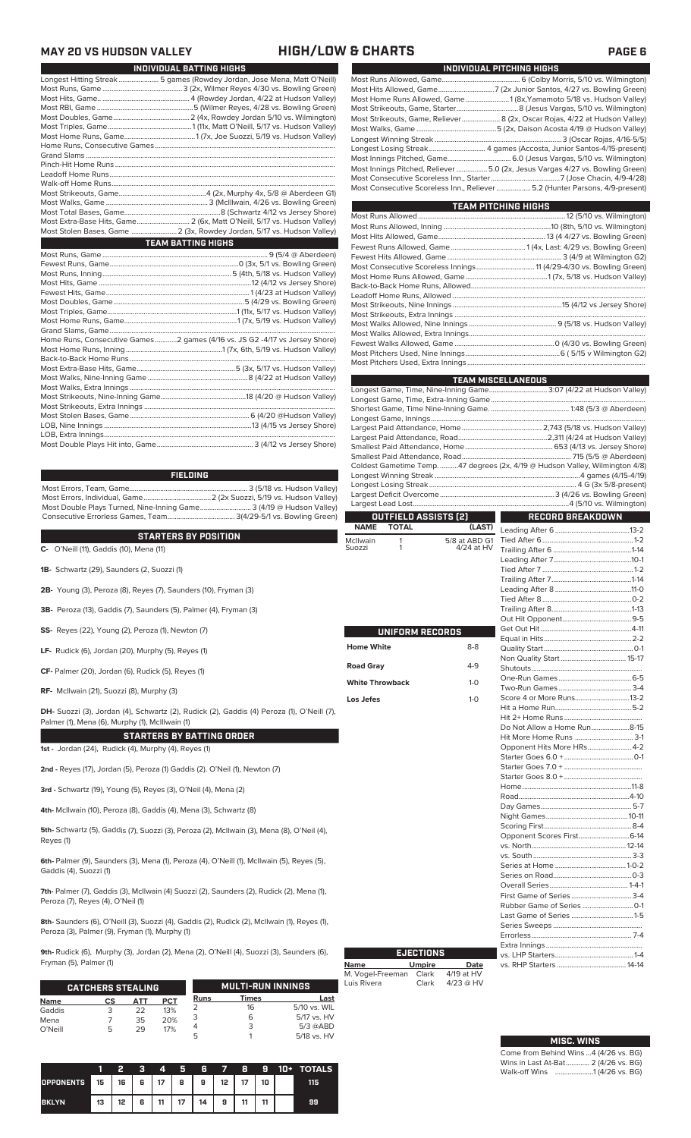### **MAY 20 VS HUDSON VALLEY HIGH/LOW & CHARTS PAGE 6**

| INDIVIDUAL BATTING HIGHS                                                |
|-------------------------------------------------------------------------|
| Longest Hitting Streak 5 games (Rowdey Jordan, Jose Mena, Matt O'Neill) |
|                                                                         |
|                                                                         |
|                                                                         |
|                                                                         |
|                                                                         |
|                                                                         |
|                                                                         |
|                                                                         |
|                                                                         |
|                                                                         |
|                                                                         |
|                                                                         |
|                                                                         |
|                                                                         |
| Most Extra-Base Hits, Game 2 (6x, Matt O'Neill, 5/17 vs. Hudson Valley) |
| Most Stolen Bases, Game  2 (3x, Rowdey Jordan, 5/17 vs. Hudson Valley)  |
| <b>TEAM BATTING HIGHS</b>                                               |
|                                                                         |
|                                                                         |
|                                                                         |
|                                                                         |
|                                                                         |
|                                                                         |
|                                                                         |
|                                                                         |

| Home Runs, Consecutive Games2 games (4/16 vs. JS G2 -4/17 vs Jersey Shore) |  |
|----------------------------------------------------------------------------|--|
|                                                                            |  |
|                                                                            |  |
|                                                                            |  |
|                                                                            |  |
|                                                                            |  |
|                                                                            |  |
|                                                                            |  |
|                                                                            |  |
|                                                                            |  |
|                                                                            |  |
|                                                                            |  |
|                                                                            |  |

**FIELDING**

Most Errors, Team, Game................................................................. 3 (5/18 vs. Hudson Valley) Most Errors, Individual, Game.....................................2 (2x Suozzi, 5/19 vs. Hudson Valley) Most Double Plays Turned, Nine-Inning Game............................ 3 (4/19 @ Hudson Valley) Consecutive Errorless Games, Team..................................... 3(4/29-5/1 vs. Bowling Green)

# **STARTERS BY POSITION**

STARTERS BY PUSITIUN<br>C- O'Neill (11), Gaddis (10), Mena (11)

- **1B-** Schwartz (29), Saunders (2, Suozzi (1)
- **2B-** Young (3), Peroza (8), Reyes (7), Saunders (10), Fryman (3)
- **3B-** Peroza (13), Gaddis (7), Saunders (5), Palmer (4), Fryman (3)
- **SS-** Reyes (22), Young (2), Peroza (1), Newton (7)
- **LF-** Rudick (6), Jordan (20), Murphy (5), Reyes (1)
- **CF-** Palmer (20), Jordan (6), Rudick (5), Reyes (1)
- **RF-** McIlwain (21), Suozzi (8), Murphy (3)

**DH-** Suozzi (3), Jordan (4), Schwartz (2), Rudick (2), Gaddis (4) Peroza (1), O'Neill (7), Palmer (1), Mena (6), Murphy (1), McIllwain (1)

### **STARTERS BY BATTING ORDER**

**1st -** Jordan (24), Rudick (4), Murphy (4), Reyes (1)

**2nd -** Reyes (17), Jordan (5), Peroza (1) Gaddis (2). O'Neil (1), Newton (7)

**3rd -** Schwartz (19), Young (5), Reyes (3), O'Neil (4), Mena (2)

**4th-** McIlwain (10), Peroza (8), Gaddis (4), Mena (3), Schwartz (8)

**5th-** Schwartz (5), Gaddis (7), Suozzi (3), Peroza (2), McIlwain (3), Mena (8), O'Neil (4), Reyes (1)

**6th-** Palmer (9), Saunders (3), Mena (1), Peroza (4), O'Neill (1), McIlwain (5), Reyes (5), Gaddis (4), Suozzi (1)

**7th-** Palmer (7), Gaddis (3), McIlwain (4) Suozzi (2), Saunders (2), Rudick (2), Mena (1), Peroza (7), Reyes (4), O'Neil (1)

**8th-** Saunders (6), O'Neill (3), Suozzi (4), Gaddis (2), Rudick (2), McIlwain (1), Reyes (1), Peroza (3), Palmer (9), Fryman (1), Murphy (1)

**9th-** Rudick (6), Murphy (3), Jordan (2), Mena (2), O'Neill (4), Suozzi (3), Saunders (6), Fryman (5), Palmer (1)

|             | <b>CATCHERS STEALING</b> |     |            |      | <b>MULTI-RUN INNINGS</b> |              |
|-------------|--------------------------|-----|------------|------|--------------------------|--------------|
| <b>Name</b> | CS                       | АТТ | <b>PCT</b> | Runs | Times                    | Last         |
| Gaddis      |                          | 22  | 13%        |      | 16                       | 5/10 vs. WIL |
| Mena        |                          | 35  | 20%        |      | 6                        | 5/17 vs. HV  |
| O'Neill     | 5                        | 29  | 17%        |      |                          | $5/3$ @ABD   |
|             |                          |     |            |      |                          | 5/18 vs. HV  |

|                  |      |                 |   | 4  | 5.                  | R  | $\overline{\phantom{a}}$ | 8  | - 9 | 10+ TOTALS. |
|------------------|------|-----------------|---|----|---------------------|----|--------------------------|----|-----|-------------|
| <b>OPPONENTS</b> | l 15 |                 |   |    | 16   6   17   8   9 |    | 12 <sub>1</sub>          |    | 10  | 115         |
| <b>BKLYN</b>     | 13   | 12 <sup>°</sup> | 6 | 11 | 17                  | 14 | 9                        | 11 |     | 99          |

| INDIVIDUAL PITCHING HIGHS                                                     |
|-------------------------------------------------------------------------------|
|                                                                               |
|                                                                               |
|                                                                               |
|                                                                               |
| Most Strikeouts, Game, Reliever 8 (2x, Oscar Rojas, 4/22 at Hudson Valley)    |
|                                                                               |
|                                                                               |
| Longest Losing Streak 4 games (Accosta, Junior Santos-4/15-present)           |
|                                                                               |
| Most Innings Pitched, Reliever  5.0 (2x, Jesus Vargas 4/27 vs. Bowling Green) |
|                                                                               |
| Most Consecutive Scoreless Inn., Reliever 5.2 (Hunter Parsons, 4/9-present)   |
|                                                                               |

| <b>TEAM PITCHING HIGHS</b>                                          |  |
|---------------------------------------------------------------------|--|
|                                                                     |  |
|                                                                     |  |
|                                                                     |  |
|                                                                     |  |
|                                                                     |  |
| Most Consecutive Scoreless Innings 11 (4/29-4/30 vs. Bowling Green) |  |
|                                                                     |  |
|                                                                     |  |
|                                                                     |  |
|                                                                     |  |
|                                                                     |  |
|                                                                     |  |
|                                                                     |  |
|                                                                     |  |
|                                                                     |  |
|                                                                     |  |

|                        |                             |               | <b>TEAM MISCELLANEOUS</b>                                                    |  |  |  |  |
|------------------------|-----------------------------|---------------|------------------------------------------------------------------------------|--|--|--|--|
|                        |                             |               | Longest Game, Time, Nine-Inning Game 3:07 (4/22 at Hudson Valley)            |  |  |  |  |
|                        |                             |               |                                                                              |  |  |  |  |
|                        |                             |               |                                                                              |  |  |  |  |
|                        |                             |               |                                                                              |  |  |  |  |
|                        |                             |               |                                                                              |  |  |  |  |
|                        |                             |               |                                                                              |  |  |  |  |
|                        |                             |               |                                                                              |  |  |  |  |
|                        |                             |               | Coldest Gametime Temp. 47 degrees (2x, 4/19 @ Hudson Valley, Wilmington 4/8) |  |  |  |  |
|                        |                             |               |                                                                              |  |  |  |  |
|                        |                             |               |                                                                              |  |  |  |  |
|                        |                             |               |                                                                              |  |  |  |  |
|                        |                             |               |                                                                              |  |  |  |  |
|                        | <b>OUTFIELD ASSISTS (2)</b> |               | RECORD BREAKDOWN                                                             |  |  |  |  |
| <b>NAME</b>            | <b>TOTAL</b>                | (LAST)        |                                                                              |  |  |  |  |
| McIlwain               | 1                           | 5/8 at ABD G1 |                                                                              |  |  |  |  |
| Suozzi                 | 1                           | 4/24 at HV    |                                                                              |  |  |  |  |
|                        |                             |               |                                                                              |  |  |  |  |
|                        |                             |               |                                                                              |  |  |  |  |
|                        |                             |               |                                                                              |  |  |  |  |
|                        |                             |               |                                                                              |  |  |  |  |
|                        |                             |               |                                                                              |  |  |  |  |
|                        |                             |               |                                                                              |  |  |  |  |
|                        |                             |               |                                                                              |  |  |  |  |
|                        | UNIFORM RECORDS             |               |                                                                              |  |  |  |  |
| <b>Home White</b>      |                             | $8 - 8$       |                                                                              |  |  |  |  |
|                        |                             |               |                                                                              |  |  |  |  |
| <b>Road Gray</b>       |                             | $4 - 9$       |                                                                              |  |  |  |  |
|                        |                             |               |                                                                              |  |  |  |  |
| <b>White Throwback</b> |                             | $1 - 0$       |                                                                              |  |  |  |  |
|                        |                             |               | Score 4 or More Runs13-2                                                     |  |  |  |  |
| Los Jefes              |                             | $1 - 0$       |                                                                              |  |  |  |  |
|                        |                             |               |                                                                              |  |  |  |  |
|                        |                             |               | Do Not Allow a Home Run8-15                                                  |  |  |  |  |
|                        |                             |               | Hit More Home Runs  3-1                                                      |  |  |  |  |
|                        |                             |               | Opponent Hits More HRs 4-2                                                   |  |  |  |  |
|                        |                             |               |                                                                              |  |  |  |  |
|                        |                             |               |                                                                              |  |  |  |  |
|                        |                             |               |                                                                              |  |  |  |  |
|                        |                             |               |                                                                              |  |  |  |  |
|                        |                             |               |                                                                              |  |  |  |  |
|                        |                             |               |                                                                              |  |  |  |  |
|                        |                             |               |                                                                              |  |  |  |  |
|                        |                             |               |                                                                              |  |  |  |  |
|                        |                             |               | Opponent Scores First6-14                                                    |  |  |  |  |
|                        |                             |               |                                                                              |  |  |  |  |
|                        |                             |               |                                                                              |  |  |  |  |
|                        |                             |               |                                                                              |  |  |  |  |
|                        |                             |               |                                                                              |  |  |  |  |
|                        |                             |               |                                                                              |  |  |  |  |
|                        |                             |               |                                                                              |  |  |  |  |
|                        |                             |               |                                                                              |  |  |  |  |
|                        |                             |               |                                                                              |  |  |  |  |

|                                 | <b>EJECTIONS</b> |                           |
|---------------------------------|------------------|---------------------------|
| Name                            | <b>Umpire</b>    | Date                      |
| M. Vogel-Freeman<br>Luis Rivera | Clark<br>Clark   | 4/19 at HV<br>$4/23$ @ HV |
|                                 |                  |                           |

Г

Series Sweeps .................................................

Extra Innings .....................................................

vs. RHP Starters ...................................... 14-14

Errorless.

Г

vs. LHP Starters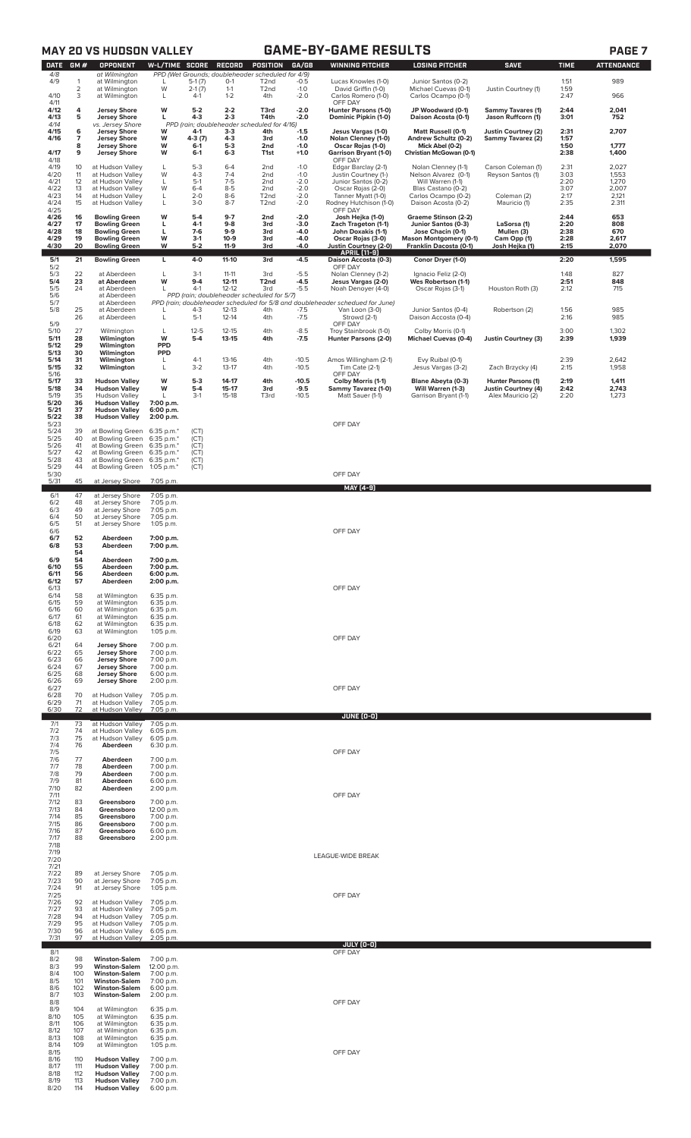|                                 |                      | <b>MAY 20 VS HUDSON VALLEY</b>                                                               |                                          |                             |                                     |                                                                                    |                            | <b>GAME-BY-GAME RESULTS</b>                                                                                                                      |                                                                  |                                                  |                      | PAGE <sub>7</sub>        |
|---------------------------------|----------------------|----------------------------------------------------------------------------------------------|------------------------------------------|-----------------------------|-------------------------------------|------------------------------------------------------------------------------------|----------------------------|--------------------------------------------------------------------------------------------------------------------------------------------------|------------------------------------------------------------------|--------------------------------------------------|----------------------|--------------------------|
| <b>DATE</b><br>4/8<br>4/9       | GM#<br>1             | <b>OPPONENT</b><br>at Wilmington<br>at Wilmington                                            | W-L/TIME SCORE<br>L                      | $5-1(7)$                    | RECORD<br>$0-1$                     | POSITION<br>PPD (Wet Grounds; doubleheader scheduled for 4/9)<br>T <sub>2</sub> nd | GA/GB<br>$-0.5$            | <b>WINNING PITCHER</b><br>Lucas Knowles (1-0)                                                                                                    | <b>LOSING PITCHER</b><br>Junior Santos (0-2)                     | <b>SAVE</b>                                      | <b>TIME</b><br>1:51  | <b>ATTENDANCE</b><br>989 |
| 4/10                            | $\mathbf 2$<br>3     | at Wilmington<br>at Wilmington                                                               | W<br>L                                   | $2-1(7)$<br>$4-1$           | $1 - 1$<br>$1 - 2$                  | T <sub>2</sub> nd<br>4th                                                           | $-1.0$<br>$-2.0$           | David Griffin (1-0)<br>Carlos Romero (1-0)                                                                                                       | Michael Cuevas (0-1)<br>Carlos Ocampo (0-1)                      | Justin Courtney (1)                              | 1:59<br>2:47         | 966                      |
| 4/11<br>4/12<br>4/13            | 4<br>5               | <b>Jersey Shore</b><br><b>Jersey Shore</b>                                                   | W<br>г                                   | $5-2$<br>4-3                | $2 - 2$<br>$2 - 3$                  | T3rd<br>T4th                                                                       | $-2.0$<br>$-2.0$           | OFF DAY<br>Hunter Parsons (1-0)<br>Dominic Pipkin (1-0)                                                                                          | JP Woodward (0-1)<br>Daison Acosta (0-1)                         | <b>Sammy Tavares (1)</b><br>Jason Ruffcorn (1)   | 2:44<br>3:01         | 2,041<br>752             |
| 4/14<br>4/15<br>4/16<br>4/17    | 6<br>7<br>8          | vs. Jersey Shore<br><b>Jersey Shore</b><br><b>Jersey Shore</b><br><b>Jersey Shore</b>        | w<br>W<br>w                              | 4-1<br>4-3 (7)<br>$6-1$     | $3-3$<br>$4 - 3$<br>$5-3$           | PPD (rain; doubleheader scheduled for 4/16)<br>4th<br>3rd<br>2nd                   | $-1.5$<br>$-1.0$<br>$-1.0$ | Jesus Vargas (1-0)<br>Nolan Clenney (1-0)<br>Oscar Rojas (1-0)                                                                                   | Matt Russell (0-1)<br>Andrew Schultz (0-2)<br>Mick Abel (0-2)    | Justin Courtney (2)<br>Sammy Tavarez (2)         | 2:31<br>1:57<br>1:50 | 2,707<br>1,777           |
| 4/18<br>4/19                    | 9<br>10              | <b>Jersey Shore</b><br>at Hudson Valley                                                      | w<br>L                                   | $6-1$<br>$5 - 3$            | $6 - 3$<br>$6 - 4$                  | T1st<br>2nd                                                                        | $+1.0$<br>$-1.0$           | Garrison Bryant (1-0)<br>OFF DAY<br>Edgar Barclay (2-1)                                                                                          | Christian McGowan (0-1)<br>Nolan Clenney (1-1)                   | Carson Coleman (1)                               | 2:38<br>2:31         | 1,400<br>2,027           |
| 4/20<br>4/21<br>4/22            | 11<br>12<br>13       | at Hudson Valley<br>at Hudson Valley<br>at Hudson Valley                                     | W<br>L<br>W                              | $4 - 3$<br>$5-1$<br>$6 - 4$ | $7 - 4$<br>$7 - 5$<br>$8 - 5$       | 2 <sub>nd</sub><br>2nd<br>2nd                                                      | $-1.0$<br>$-2.0$<br>$-2.0$ | Justin Courtney (1-)<br>Junior Santos (0-2)<br>Oscar Rojas (2-0)                                                                                 | Nelson Alvarez (0-1)<br>Will Warren (1-1)<br>Blas Castano (0-2)  | Reyson Santos (1)                                | 3:03<br>2:20<br>3:07 | 1,553<br>1,270<br>2,007  |
| 4/23<br>4/24<br>4/25            | 14<br>15             | at Hudson Valley<br>at Hudson Valley                                                         | L<br>Г                                   | $2 - 0$<br>$3-0$            | $8-6$<br>$8 - 7$                    | T <sub>2</sub> nd<br>T <sub>2</sub> nd                                             | $-2.0$<br>$-2.0$           | Tanner Myatt (1-0)<br>Rodney Hutchison (1-0)<br>OFF DAY                                                                                          | Carlos Ocampo (0-2)<br>Daison Acosta (0-2)                       | Coleman (2)<br>Mauricio (1)                      | 2:17<br>2:35         | 2,121<br>2.311           |
| 4/26<br>4/27<br>4/28            | 16<br>17<br>18       | <b>Bowling Green</b><br><b>Bowling Green</b><br><b>Bowling Green</b>                         | W<br>г<br>г                              | $5-4$<br>$4-1$<br>7-6       | $9 - 7$<br>$9-8$<br>$9-9$           | 2nd<br>3rd<br>3rd                                                                  | $-2.0$<br>$-3.0$<br>-4.0   | Josh Hejka (1-0)<br>Zach Trageton (1-1)<br>John Doxakis (1-1)                                                                                    | Graeme Stinson (2-2)<br>Junior Santos (0-3)<br>Jose Chacin (0-1) | LaSorsa (1)<br>Mullen (3)                        | 2:44<br>2:20<br>2:38 | 653<br>808<br>670        |
| 4/29<br>4/30                    | 19<br>20             | <b>Bowling Green</b><br><b>Bowling Green</b>                                                 | W<br>W                                   | $3-1$<br>$5-2$              | $10-9$<br>$11-9$                    | 3rd<br>3rd                                                                         | -4.0<br>-4.0               | Oscar Rojas (3-0)<br>Justin Courtney (2-0)<br><b>APRIL [11-9]</b>                                                                                | <b>Mason Montgomery (0-1)</b><br>Franklin Dacosta (0-1)          | Cam Opp (1)<br>Josh Hejka (1)                    | 2:28<br>2:15         | 2,617<br>2,070           |
| 5/1<br>5/2                      | 21                   | <b>Bowling Green</b>                                                                         | L                                        | 4-0                         | $11 - 10$                           | 3rd                                                                                | $-4.5$                     | Daison Accosta (0-3)<br>OFF DAY                                                                                                                  | Conor Dryer (1-0)                                                |                                                  | 2:20                 | 1,595                    |
| 5/3<br>5/4<br>5/5<br>5/6<br>5/7 | 22<br>23<br>24       | at Aberdeen<br>at Aberdeen<br>at Aberdeen<br>at Aberdeen<br>at Aberdeen                      | L<br>W<br>L                              | $3-1$<br>$9 - 4$<br>$4-1$   | $11 - 11$<br>$12 - 11$<br>$12 - 12$ | 3rd<br>T <sub>2nd</sub><br>3rd<br>PPD (rain; doubleheader scheduled for 5/7)       | $-5.5$<br>$-4.5$<br>$-5.5$ | Nolan Clenney (1-2)<br>Jesus Vargas (2-0)<br>Noah Denoyer (4-0)<br>PPD (rain; doubleheader scheduled for 5/8 and doubleheader schedued for June) | Ignacio Feliz (2-0)<br>Wes Robertson (1-1)<br>Oscar Rojas (3-1)  | Houston Roth (3)                                 | 1:48<br>2:51<br>2:12 | 827<br>848<br>715        |
| 5/8                             | 25<br>26             | at Aberdeen<br>at Aberdeen                                                                   | L<br>L                                   | $4 - 3$<br>$5-1$            | $12 - 13$<br>$12 - 14$              | 4th<br>4th                                                                         | $-7.5$<br>$-7.5$           | Van Loon (3-0)<br>Strowd (2-1)                                                                                                                   | Junior Santos (0-4)<br>Daison Accosta (0-4)                      | Robertson (2)                                    | 1:56<br>2:16         | 985<br>985               |
| 5/9<br>5/10<br>5/11<br>5/12     | 27<br>28<br>29       | Wilmington<br>Wilmington<br>Wilmington                                                       | L<br>W<br><b>PPD</b>                     | $12 - 5$<br>$5-4$           | $12 - 15$<br>$13 - 15$              | 4th<br>4th                                                                         | $-8.5$<br>$-7.5$           | OFF DAY<br>Troy Stainbrook (1-0)<br>Hunter Parsons (2-0)                                                                                         | Colby Morris (0-1)<br><b>Michael Cuevas (0-4)</b>                | <b>Justin Courtney (3)</b>                       | 3:00<br>2:39         | 1,302<br>1,939           |
| 5/13<br>5/14<br>5/15            | 30<br>31<br>32       | Wilmington<br>Wilmington<br>Wilmington                                                       | <b>PPD</b><br>L<br>L                     | $4-1$<br>$3-2$              | $13 - 16$<br>$13 - 17$              | 4th<br>4th                                                                         | $-10.5$<br>$-10.5$         | Amos Willingham (2-1)<br>Tim Cate (2-1)                                                                                                          | Evy Ruibal (0-1)<br>Jesus Vargas (3-2)                           | Zach Brzycky (4)                                 | 2:39<br>2:15         | 2,642<br>1,958           |
| 5/16<br>5/17<br>5/18            | 33<br>34             | <b>Hudson Valley</b><br><b>Hudson Valley</b>                                                 | W<br>W                                   | $5-3$<br>5-4                | $14 - 17$<br>15-17                  | 4th<br>3rd                                                                         | $-10.5$<br>$-9.5$          | OFF DAY<br>Colby Morris (1-1)<br>Sammy Tavarez (1-0)                                                                                             | Blane Abeyta (0-3)<br>Will Warren (1-3)                          | Hunter Parsons (1)<br><b>Justin Courtney (4)</b> | 2:19<br>2:42         | 1,411<br>2,743           |
| 5/19<br>5/20<br>5/21<br>5/22    | 35<br>36<br>37<br>38 | <b>Hudson Valley</b><br><b>Hudson Valley</b><br><b>Hudson Valley</b><br><b>Hudson Valley</b> | Г<br>7:00 p.m.<br>6:00 p.m.<br>2:00 p.m. | $3-1$                       | $15-18$                             | T3rd                                                                               | $-10.5$                    | Matt Sauer (1-1)                                                                                                                                 | Garrison Bryant (1-1)                                            | Alex Mauricio (2)                                | 2:20                 | 1,273                    |
| 5/23<br>5/24<br>5/25            | 39<br>40             | at Bowling Green<br>at Bowling Green                                                         | 6:35 p.m.*<br>6:35 p.m.*                 | (CT)<br>(CT)                |                                     |                                                                                    |                            | OFF DAY                                                                                                                                          |                                                                  |                                                  |                      |                          |
| 5/26<br>5/27<br>5/28            | 41<br>42<br>43       | at Bowling Green<br>at Bowling Green                                                         | 6:35 p.m.*<br>6:35 p.m.*                 | (CT)<br>(CT)<br>(CT)        |                                     |                                                                                    |                            |                                                                                                                                                  |                                                                  |                                                  |                      |                          |
| 5/29<br>5/30                    | 44                   | at Bowling Green<br>at Bowling Green                                                         | 6:35 p.m.*<br>1:05 p.m. $*$              | (CT)                        |                                     |                                                                                    |                            | OFF DAY                                                                                                                                          |                                                                  |                                                  |                      |                          |
| 5/31<br>6/1                     | 45<br>47             | at Jersey Shore<br>at Jersey Shore                                                           | 7:05 p.m.<br>7:05 p.m.                   |                             |                                     |                                                                                    |                            | MAY [4-9]                                                                                                                                        |                                                                  |                                                  |                      |                          |
| 6/2<br>6/3<br>6/4               | 48<br>49<br>50       | at Jersey Shore<br>at Jersey Shore<br>at Jersey Shore                                        | 7:05 p.m.<br>7:05 p.m.<br>7:05 p.m.      |                             |                                     |                                                                                    |                            |                                                                                                                                                  |                                                                  |                                                  |                      |                          |
| 6/5<br>6/6<br>6/7               | 51<br>52             | at Jersey Shore<br>Aberdeen                                                                  | 1:05 p.m.<br>7:00 p.m.                   |                             |                                     |                                                                                    |                            | OFF DAY                                                                                                                                          |                                                                  |                                                  |                      |                          |
| 6/8<br>6/9                      | 53<br>54<br>54       | Aberdeen<br>Aberdeen                                                                         | 7:00 p.m.<br>7:00 p.m.                   |                             |                                     |                                                                                    |                            |                                                                                                                                                  |                                                                  |                                                  |                      |                          |
| 6/10<br>6/11<br>6/12            | 55<br>56<br>57       | Aberdeen<br>Aberdeen<br>Aberdeen                                                             | 7:00 p.m.<br>6:00 p.m.<br>2:00 p.m.      |                             |                                     |                                                                                    |                            |                                                                                                                                                  |                                                                  |                                                  |                      |                          |
| 6/13<br>6/14<br>6/15            | 58                   | at Wilmington                                                                                | 6:35 p.m.                                |                             |                                     |                                                                                    |                            | OFF DAY                                                                                                                                          |                                                                  |                                                  |                      |                          |
| 6/16<br>6/17                    | 59<br>60<br>61       | at Wilmington<br>at Wilmington<br>at Wilmington                                              | 6:35 p.m.<br>6:35 p.m.<br>6:35 p.m.      |                             |                                     |                                                                                    |                            |                                                                                                                                                  |                                                                  |                                                  |                      |                          |
| 6/18<br>6/19<br>6/20            | 62<br>63             | at Wilmington<br>at Wilmington                                                               | 6:35 p.m.<br>1:05 p.m.                   |                             |                                     |                                                                                    |                            | OFF DAY                                                                                                                                          |                                                                  |                                                  |                      |                          |
| 6/21<br>6/22<br>6/23            | 64<br>65<br>66       | <b>Jersey Shore</b><br><b>Jersey Shore</b><br><b>Jersey Shore</b>                            | 7:00 p.m.<br>7:00 p.m.<br>7:00 p.m.      |                             |                                     |                                                                                    |                            |                                                                                                                                                  |                                                                  |                                                  |                      |                          |
| 6/24<br>6/25<br>6/26            | 67<br>68<br>69       | <b>Jersey Shore</b><br><b>Jersey Shore</b><br><b>Jersey Shore</b>                            | 7:00 p.m.<br>6:00 p.m.<br>2:00 p.m.      |                             |                                     |                                                                                    |                            |                                                                                                                                                  |                                                                  |                                                  |                      |                          |
| 6/27<br>6/28<br>6/29            | 70<br>71             | at Hudson Valley<br>at Hudson Valley                                                         | 7:05 p.m.<br>7:05 p.m.                   |                             |                                     |                                                                                    |                            | OFF DAY                                                                                                                                          |                                                                  |                                                  |                      |                          |
| 6/30<br>7/1                     | 72<br>73             | at Hudson Valley<br>at Hudson Valley                                                         | 7:05 p.m.<br>7:05 p.m.                   |                             |                                     |                                                                                    |                            | JUNE (0-0)                                                                                                                                       |                                                                  |                                                  |                      |                          |
| 7/2<br>7/3<br>7/4               | 74<br>75<br>76       | at Hudson Valley<br>at Hudson Valley<br>Aberdeen                                             | 6:05 p.m.<br>6:05 p.m.<br>6:30 p.m.      |                             |                                     |                                                                                    |                            |                                                                                                                                                  |                                                                  |                                                  |                      |                          |
| 7/5<br>7/6<br>7/7               | 77<br>78             | Aberdeen<br>Aberdeen                                                                         | 7:00 p.m.<br>7:00 p.m.                   |                             |                                     |                                                                                    |                            | OFF DAY                                                                                                                                          |                                                                  |                                                  |                      |                          |
| 7/8<br>7/9<br>7/10              | 79<br>81<br>82       | Aberdeen<br>Aberdeen<br>Aberdeen                                                             | 7:00 p.m.<br>6:00 p.m.<br>2:00 p.m.      |                             |                                     |                                                                                    |                            |                                                                                                                                                  |                                                                  |                                                  |                      |                          |
| 7/11<br>7/12                    | 83                   | Greensboro                                                                                   | 7:00 p.m.                                |                             |                                     |                                                                                    |                            | OFF DAY                                                                                                                                          |                                                                  |                                                  |                      |                          |
| 7/13<br>7/14<br>7/15            | 84<br>85<br>86       | Greensboro<br>Greensboro<br>Greensboro                                                       | 12:00 p.m.<br>7:00 p.m.<br>7:00 p.m.     |                             |                                     |                                                                                    |                            |                                                                                                                                                  |                                                                  |                                                  |                      |                          |
| 7/16<br>7/17<br>7/18            | 87<br>88             | Greensboro<br>Greensboro                                                                     | 6:00 p.m.<br>2:00 p.m.                   |                             |                                     |                                                                                    |                            |                                                                                                                                                  |                                                                  |                                                  |                      |                          |
| 7/19<br>7/20<br>7/21            |                      |                                                                                              |                                          |                             |                                     |                                                                                    |                            | LEAGUE-WIDE BREAK                                                                                                                                |                                                                  |                                                  |                      |                          |
| 7/22<br>7/23<br>7/24            | 89<br>90<br>91       | at Jersey Shore<br>at Jersey Shore<br>at Jersey Shore                                        | 7:05 p.m.<br>7:05 p.m.<br>1:05 p.m.      |                             |                                     |                                                                                    |                            |                                                                                                                                                  |                                                                  |                                                  |                      |                          |
| 7/25<br>7/26<br>7/27            | 92<br>93             | at Hudson Valley<br>at Hudson Valley                                                         | 7:05 p.m.<br>7:05 p.m.                   |                             |                                     |                                                                                    |                            | OFF DAY                                                                                                                                          |                                                                  |                                                  |                      |                          |
| 7/28<br>7/29<br>7/30            | 94<br>95             | at Hudson Valley<br>at Hudson Valley                                                         | 7:05 p.m.<br>7:05 p.m.                   |                             |                                     |                                                                                    |                            |                                                                                                                                                  |                                                                  |                                                  |                      |                          |
| 7/31                            | 96<br>97             | at Hudson Valley<br>at Hudson Valley                                                         | 6:05 p.m.<br>2:05 p.m.                   |                             |                                     |                                                                                    |                            | JULY (0-0)                                                                                                                                       |                                                                  |                                                  |                      |                          |
| 8/1<br>8/2<br>8/3               | 98<br>99             | <b>Winston-Salem</b><br><b>Winston-Salem</b>                                                 | 7:00 p.m.<br>12:00 p.m.                  |                             |                                     |                                                                                    |                            | OFF DAY                                                                                                                                          |                                                                  |                                                  |                      |                          |
| 8/4<br>8/5<br>8/6               | 100<br>101<br>102    | <b>Winston-Salem</b><br><b>Winston-Salem</b><br><b>Winston-Salem</b>                         | 7:00 p.m.<br>7:00 p.m.<br>6:00 p.m.      |                             |                                     |                                                                                    |                            |                                                                                                                                                  |                                                                  |                                                  |                      |                          |
| 8/7<br>8/8<br>8/9               | 103<br>104           | <b>Winston-Salem</b><br>at Wilmington                                                        | 2:00 p.m.<br>6:35 p.m.                   |                             |                                     |                                                                                    |                            | OFF DAY                                                                                                                                          |                                                                  |                                                  |                      |                          |
| 8/10<br>8/11                    | 105<br>106           | at Wilmington<br>at Wilmington                                                               | 6:35 p.m.<br>6:35 p.m.                   |                             |                                     |                                                                                    |                            |                                                                                                                                                  |                                                                  |                                                  |                      |                          |
| 8/12<br>8/13<br>8/14            | 107<br>108<br>109    | at Wilmington<br>at Wilmington<br>at Wilmington                                              | 6:35 p.m.<br>6:35 p.m.<br>1:05 p.m.      |                             |                                     |                                                                                    |                            |                                                                                                                                                  |                                                                  |                                                  |                      |                          |
| 8/15<br>8/16<br>8/17            | 110<br>111           | <b>Hudson Valley</b><br><b>Hudson Valley</b>                                                 | 7:00 p.m.<br>7:00 p.m.                   |                             |                                     |                                                                                    |                            | OFF DAY                                                                                                                                          |                                                                  |                                                  |                      |                          |
| 8/18<br>8/19<br>8/20            | 112<br>113<br>114    | <b>Hudson Valley</b><br><b>Hudson Valley</b><br><b>Hudson Valley</b>                         | 7:00 p.m.<br>7:00 p.m.<br>6:00 p.m.      |                             |                                     |                                                                                    |                            |                                                                                                                                                  |                                                                  |                                                  |                      |                          |